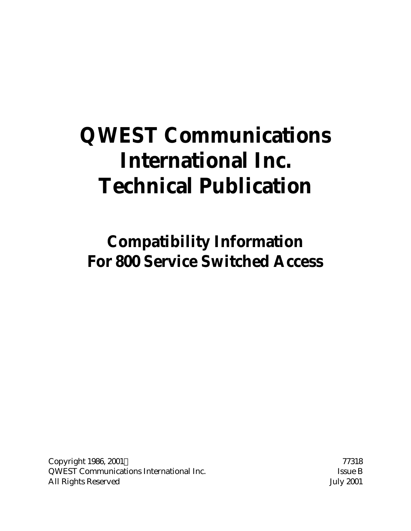# **QWEST Communications International Inc. Technical Publication**

**Compatibility Information For 800 Service Switched Access**

Copyright 1986, 2001 © 77318 QWEST Communications International Inc. Some B Issue B All Rights Reserved July 2001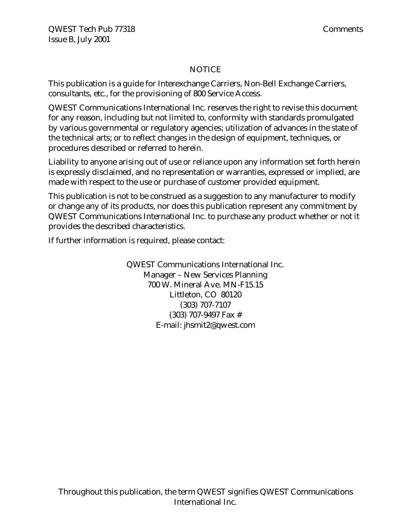#### NOTICE

This publication is a guide for Interexchange Carriers, Non-Bell Exchange Carriers, consultants, etc., for the provisioning of 800 Service Access.

QWEST Communications International Inc. reserves the right to revise this document for any reason, including but not limited to, conformity with standards promulgated by various governmental or regulatory agencies; utilization of advances in the state of the technical arts; or to reflect changes in the design of equipment, techniques, or procedures described or referred to herein.

Liability to anyone arising out of use or reliance upon any information set forth herein is expressly disclaimed, and no representation or warranties, expressed or implied, are made with respect to the use or purchase of customer provided equipment.

This publication is not to be construed as a suggestion to any manufacturer to modify or change any of its products, nor does this publication represent any commitment by QWEST Communications International Inc. to purchase any product whether or not it provides the described characteristics.

If further information is required, please contact:

QWEST Communications International Inc. Manager – New Services Planning 700 W. Mineral Ave. MN-F15.15 Littleton, CO 80120 (303) 707-7107 (303) 707-9497 Fax # E-mail: jhsmit2@qwest.com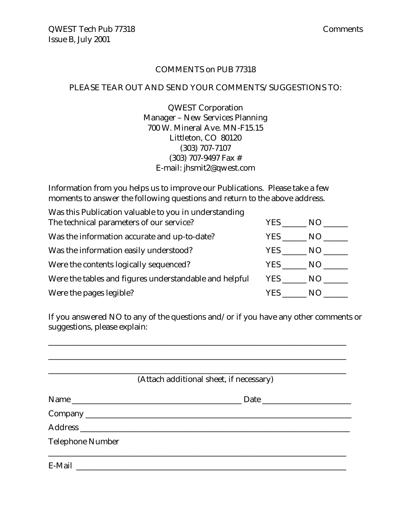#### COMMENTS on PUB 77318

#### PLEASE TEAR OUT AND SEND YOUR COMMENTS/SUGGESTIONS TO:

QWEST Corporation Manager – New Services Planning 700 W. Mineral Ave. MN-F15.15 Littleton, CO 80120 (303) 707-7107 (303) 707-9497 Fax # E-mail: jhsmit2@qwest.com

Information from you helps us to improve our Publications. Please take a few moments to answer the following questions and return to the above address.

| Was this Publication valuable to you in understanding  |       |     |  |  |  |
|--------------------------------------------------------|-------|-----|--|--|--|
| The technical parameters of our service?               | YES . | NO  |  |  |  |
| Was the information accurate and up-to-date?           | YES.  | NO. |  |  |  |
| Was the information easily understood?                 | YES   | NO. |  |  |  |
| Were the contents logically sequenced?                 | YES   | NO. |  |  |  |
| Were the tables and figures understandable and helpful | YES   | NO. |  |  |  |
| Were the pages legible?                                | YES.  | N() |  |  |  |

If you answered NO to any of the questions and/or if you have any other comments or suggestions, please explain:

\_\_\_\_\_\_\_\_\_\_\_\_\_\_\_\_\_\_\_\_\_\_\_\_\_\_\_\_\_\_\_\_\_\_\_\_\_\_\_\_\_\_\_\_\_\_\_\_\_\_\_\_\_\_\_\_\_\_\_\_\_\_\_\_\_\_\_\_\_\_\_\_\_\_

|                         | (Attach additional sheet, if necessary) |
|-------------------------|-----------------------------------------|
|                         |                                         |
|                         |                                         |
|                         |                                         |
| <b>Telephone Number</b> |                                         |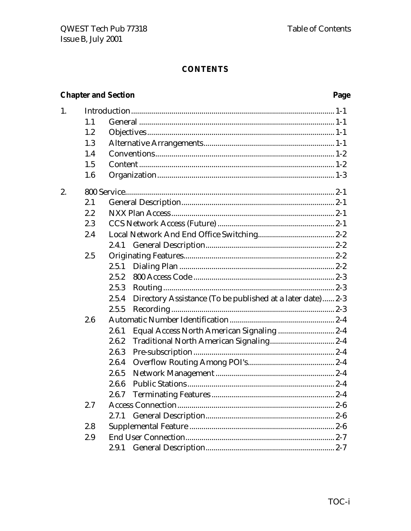# **CONTENTS**

# **Chapter and Section**

# Page

| 1. |     |                                                                     |
|----|-----|---------------------------------------------------------------------|
|    | 1.1 |                                                                     |
|    | 1.2 |                                                                     |
|    | 1.3 |                                                                     |
|    | 1.4 |                                                                     |
|    | 1.5 |                                                                     |
|    | 1.6 |                                                                     |
| 2. |     |                                                                     |
|    | 2.1 |                                                                     |
|    | 2.2 |                                                                     |
|    | 2.3 |                                                                     |
|    | 2.4 |                                                                     |
|    |     | 2.4.1                                                               |
|    | 2.5 |                                                                     |
|    |     | 2.5.1                                                               |
|    |     | 2.5.2                                                               |
|    |     | 2.5.3                                                               |
|    |     | Directory Assistance (To be published at a later date) 2-3<br>2.5.4 |
|    |     | 2.5.5                                                               |
|    | 2.6 |                                                                     |
|    |     | 2.6.1                                                               |
|    |     | 2.6.2                                                               |
|    |     | 2.6.3                                                               |
|    |     | 2.6.4                                                               |
|    |     | 2.6.5                                                               |
|    |     | 2.6.6                                                               |
|    |     | 2.6.7                                                               |
|    | 2.7 |                                                                     |
|    |     | 2.7.1                                                               |
|    | 2.8 |                                                                     |
|    | 2.9 |                                                                     |
|    |     |                                                                     |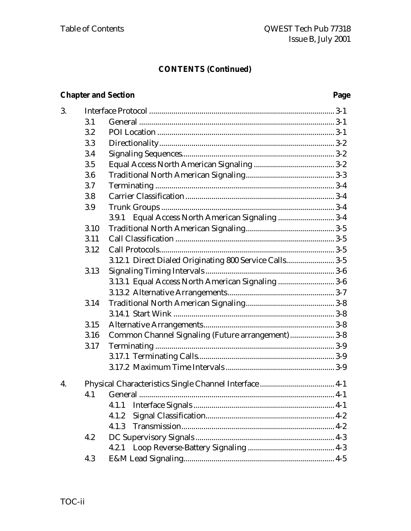# **Chapter and Section**

# Page

| 3. |      |                                                        |
|----|------|--------------------------------------------------------|
|    | 3.1  |                                                        |
|    | 3.2  |                                                        |
|    | 3.3  |                                                        |
|    | 3.4  |                                                        |
|    | 3.5  |                                                        |
|    | 3.6  |                                                        |
|    | 3.7  |                                                        |
|    | 3.8  |                                                        |
|    | 3.9  |                                                        |
|    |      | 3.9.1 Equal Access North American Signaling  3-4       |
|    | 3.10 |                                                        |
|    | 3.11 |                                                        |
|    | 3.12 |                                                        |
|    |      | 3.12.1 Direct Dialed Originating 800 Service Calls 3-5 |
|    | 3.13 |                                                        |
|    |      | 3.13.1 Equal Access North American Signaling  3-6      |
|    |      |                                                        |
|    | 3.14 |                                                        |
|    |      |                                                        |
|    | 3.15 |                                                        |
|    | 3.16 | Common Channel Signaling (Future arrangement)  3-8     |
|    | 3.17 |                                                        |
|    |      |                                                        |
|    |      |                                                        |
| 4. |      |                                                        |
|    | 4.1  |                                                        |
|    |      |                                                        |
|    |      | 4.1.2                                                  |
|    |      | 4.1.3                                                  |
|    | 4.2  |                                                        |
|    |      | 4.2.1                                                  |
|    | 4.3  |                                                        |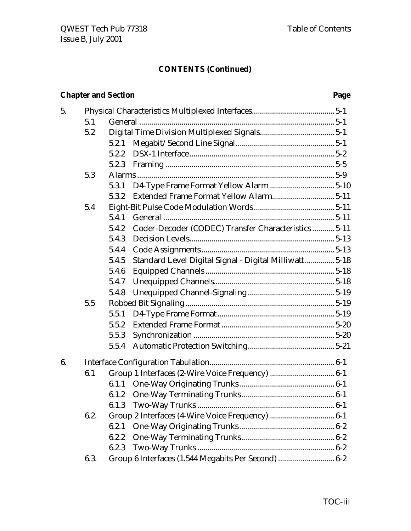# **Chapter and Section Page**

| 5. |      |       |                                                        |  |
|----|------|-------|--------------------------------------------------------|--|
|    | 5.1  |       |                                                        |  |
|    | 5.2  |       |                                                        |  |
|    |      | 5.2.1 |                                                        |  |
|    |      | 5.2.2 |                                                        |  |
|    |      | 5.2.3 |                                                        |  |
|    | 5.3  |       |                                                        |  |
|    |      | 5.3.1 |                                                        |  |
|    |      | 5.3.2 |                                                        |  |
|    | 5.4  |       |                                                        |  |
|    |      | 5.4.1 |                                                        |  |
|    |      | 5.4.2 | Coder-Decoder (CODEC) Transfer Characteristics  5-11   |  |
|    |      | 5.4.3 |                                                        |  |
|    |      | 5.4.4 |                                                        |  |
|    |      | 5.4.5 | Standard Level Digital Signal - Digital Milliwatt 5-18 |  |
|    |      | 5.4.6 |                                                        |  |
|    |      | 5.4.7 |                                                        |  |
|    |      | 5.4.8 |                                                        |  |
|    | 5.5  |       |                                                        |  |
|    |      | 5.5.1 |                                                        |  |
|    |      | 5.5.2 |                                                        |  |
|    |      | 5.5.3 |                                                        |  |
|    |      | 5.5.4 |                                                        |  |
| 6. |      |       |                                                        |  |
|    | 6.1  |       |                                                        |  |
|    |      |       |                                                        |  |
|    |      | 6.1.2 |                                                        |  |
|    |      | 6.1.3 |                                                        |  |
|    | 6.2. |       |                                                        |  |
|    |      | 6.2.1 |                                                        |  |
|    |      | 6.2.2 |                                                        |  |
|    |      | 6.2.3 |                                                        |  |
|    | 6.3. |       | Group 6 Interfaces (1.544 Megabits Per Second)  6-2    |  |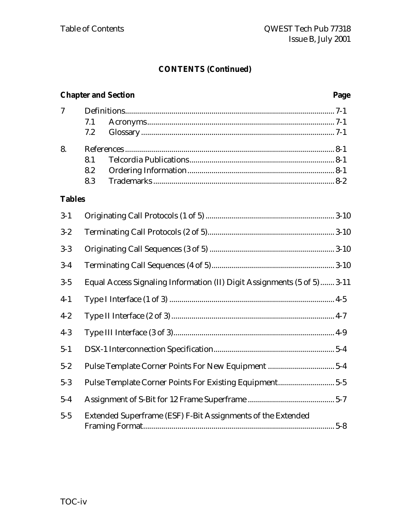# **Chapter and Section Page** 7 Definitions........................................................................................................ 7-1 7.1 Acronyms............................................................................................. 7-1 7.2 Glossary ................................................................................................ 7-1 8. References ........................................................................................................ 8-1 8.1 Telcordia Publications........................................................................ 8-1 8.2 Ordering Information......................................................................... 8-1 8.3 Trademarks .......................................................................................... 8-2 **Tables** 3-1 Originating Call Protocols (1 of 5)................................................................ 3-10 3-2 Terminating Call Protocols (2 of 5)............................................................... 3-10 3-3 Originating Call Sequences (3 of 5) .............................................................. 3-10 3-4 Terminating Call Sequences (4 of 5)............................................................. 3-10 3-5 Equal Access Signaling Information (II) Digit Assignments (5 of 5)....... 3-11 4-1 Type I Interface (1 of 3) .................................................................................. 4-5 4-2 Type II Interface (2 of 3)................................................................................. 4-7 4-3 Type III Interface (3 of 3)................................................................................ 4-9 5-1 DSX-1 Interconnection Specification............................................................ 5-4 5-2 Pulse Template Corner Points For New Equipment ................................. 5-4 5-3 Pulse Template Corner Points For Existing Equipment............................ 5-5 5-4 Assignment of S-Bit for 12 Frame Superframe ........................................... 5-7 5-5 Extended Superframe (ESF) F-Bit Assignments of the Extended Framing Format............................................................................................... 5-8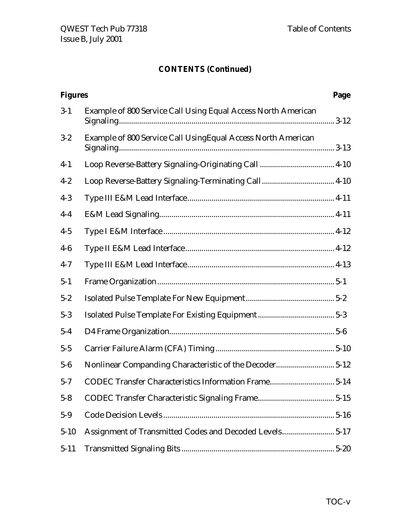| <b>Figures</b> |                                                               | Page |
|----------------|---------------------------------------------------------------|------|
| $3 - 1$        | Example of 800 Service Call Using Equal Access North American |      |
| $3 - 2$        | Example of 800 Service Call UsingEqual Access North American  |      |
| $4-1$          |                                                               |      |
| $4 - 2$        |                                                               |      |
| $4-3$          |                                                               |      |
| $4-4$          |                                                               |      |
| $4-5$          |                                                               |      |
| $4-6$          |                                                               |      |
| $4 - 7$        |                                                               |      |
| $5 - 1$        |                                                               |      |
| $5 - 2$        |                                                               |      |
| $5 - 3$        |                                                               |      |
| $5-4$          |                                                               |      |
| $5 - 5$        |                                                               |      |
| $5-6$          | Nonlinear Companding Characteristic of the Decoder 5-12       |      |
| $5 - 7$        | CODEC Transfer Characteristics Information Frame 5-14         |      |
| $5 - 8$        |                                                               |      |
| $5-9$          |                                                               |      |
| $5 - 10$       | Assignment of Transmitted Codes and Decoded Levels5-17        |      |
| $5 - 11$       |                                                               |      |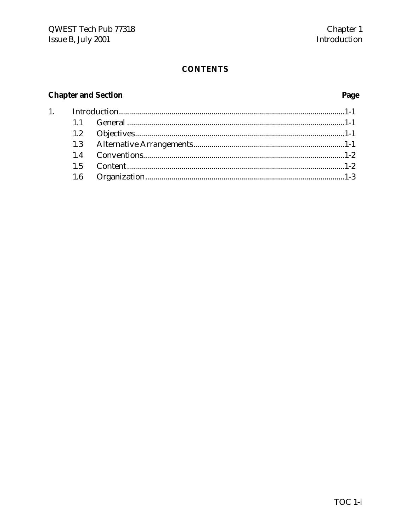# **CONTENTS**

# **Chapter and Section**

 $1.$ 

# Page

| 1.6 |  |
|-----|--|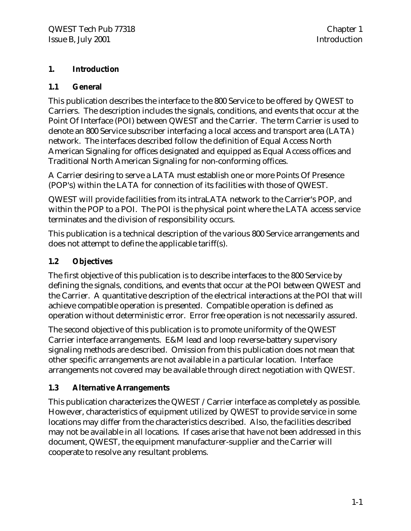#### **1. Introduction**

#### **1.1 General**

This publication describes the interface to the 800 Service to be offered by QWEST to Carriers. The description includes the signals, conditions, and events that occur at the Point Of Interface (POI) between QWEST and the Carrier. The term Carrier is used to denote an 800 Service subscriber interfacing a local access and transport area (LATA) network. The interfaces described follow the definition of Equal Access North American Signaling for offices designated and equipped as Equal Access offices and Traditional North American Signaling for non-conforming offices.

A Carrier desiring to serve a LATA must establish one or more Points Of Presence (POP's) within the LATA for connection of its facilities with those of QWEST.

QWEST will provide facilities from its intraLATA network to the Carrier's POP, and within the POP to a POI. The POI is the physical point where the LATA access service terminates and the division of responsibility occurs.

This publication is a technical description of the various 800 Service arrangements and does not attempt to define the applicable tariff(s).

#### **1.2 Objectives**

The first objective of this publication is to describe interfaces to the 800 Service by defining the signals, conditions, and events that occur at the POI between QWEST and the Carrier. A quantitative description of the electrical interactions at the POI that will achieve compatible operation is presented. Compatible operation is defined as operation without deterministic error. Error free operation is not necessarily assured.

The second objective of this publication is to promote uniformity of the QWEST Carrier interface arrangements. E&M lead and loop reverse-battery supervisory signaling methods are described. Omission from this publication does not mean that other specific arrangements are not available in a particular location. Interface arrangements not covered may be available through direct negotiation with QWEST.

#### **1.3 Alternative Arrangements**

This publication characterizes the QWEST /Carrier interface as completely as possible. However, characteristics of equipment utilized by QWEST to provide service in some locations may differ from the characteristics described. Also, the facilities described may not be available in all locations. If cases arise that have not been addressed in this document, QWEST, the equipment manufacturer-supplier and the Carrier will cooperate to resolve any resultant problems.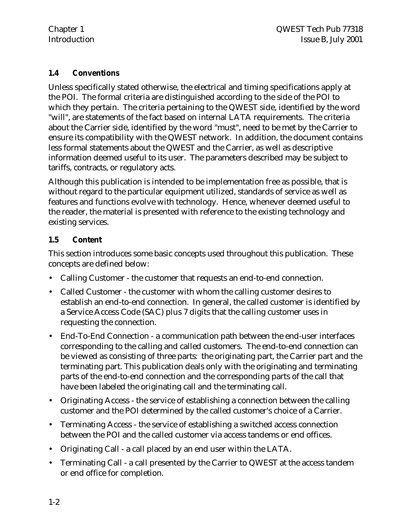#### **1.4 Conventions**

Unless specifically stated otherwise, the electrical and timing specifications apply at the POI. The formal criteria are distinguished according to the side of the POI to which they pertain. The criteria pertaining to the QWEST side, identified by the word "will", are statements of the fact based on internal LATA requirements. The criteria about the Carrier side, identified by the word "must", need to be met by the Carrier to ensure its compatibility with the QWEST network. In addition, the document contains less formal statements about the QWEST and the Carrier, as well as descriptive information deemed useful to its user. The parameters described may be subject to tariffs, contracts, or regulatory acts.

Although this publication is intended to be implementation free as possible, that is without regard to the particular equipment utilized, standards of service as well as features and functions evolve with technology. Hence, whenever deemed useful to the reader, the material is presented with reference to the existing technology and existing services.

#### **1.5 Content**

This section introduces some basic concepts used throughout this publication. These concepts are defined below:

- Calling Customer the customer that requests an end-to-end connection.
- Called Customer the customer with whom the calling customer desires to establish an end-to-end connection. In general, the called customer is identified by a Service Access Code (SAC) plus 7 digits that the calling customer uses in requesting the connection.
- End-To-End Connection a communication path between the end-user interfaces corresponding to the calling and called customers. The end-to-end connection can be viewed as consisting of three parts: the originating part, the Carrier part and the terminating part. This publication deals only with the originating and terminating parts of the end-to-end connection and the corresponding parts of the call that have been labeled the originating call and the terminating call.
- Originating Access the service of establishing a connection between the calling customer and the POI determined by the called customer's choice of a Carrier.
- Terminating Access the service of establishing a switched access connection between the POI and the called customer via access tandems or end offices.
- Originating Call a call placed by an end user within the LATA.
- Terminating Call a call presented by the Carrier to QWEST at the access tandem or end office for completion.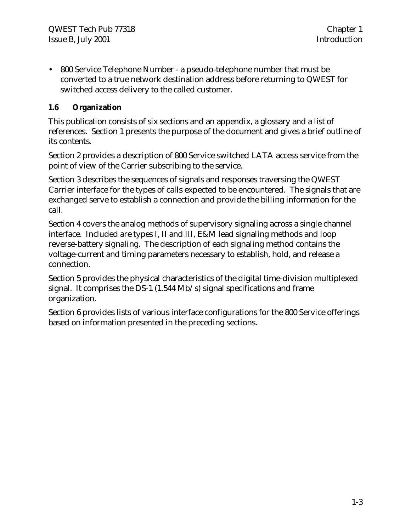• 800 Service Telephone Number - a pseudo-telephone number that must be converted to a true network destination address before returning to QWEST for switched access delivery to the called customer.

#### **1.6 Organization**

This publication consists of six sections and an appendix, a glossary and a list of references. Section 1 presents the purpose of the document and gives a brief outline of its contents.

Section 2 provides a description of 800 Service switched LATA access service from the point of view of the Carrier subscribing to the service.

Section 3 describes the sequences of signals and responses traversing the QWEST Carrier interface for the types of calls expected to be encountered. The signals that are exchanged serve to establish a connection and provide the billing information for the call.

Section 4 covers the analog methods of supervisory signaling across a single channel interface. Included are types I, II and III, E&M lead signaling methods and loop reverse-battery signaling. The description of each signaling method contains the voltage-current and timing parameters necessary to establish, hold, and release a connection.

Section 5 provides the physical characteristics of the digital time-division multiplexed signal. It comprises the DS-1 (1.544 Mb/s) signal specifications and frame organization.

Section 6 provides lists of various interface configurations for the 800 Service offerings based on information presented in the preceding sections.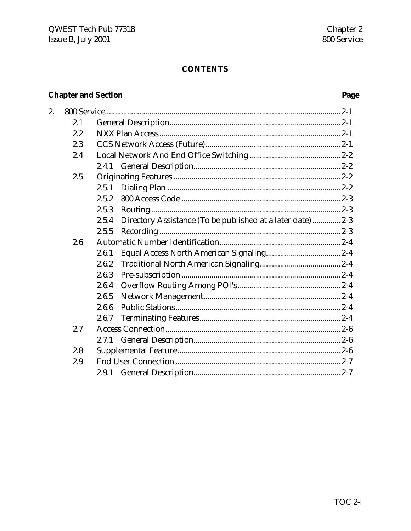# **CONTENTS**

# **Chapter and Section**

# Page

| 2. |     |                                                                      |
|----|-----|----------------------------------------------------------------------|
|    | 2.1 |                                                                      |
|    | 2.2 |                                                                      |
|    | 2.3 |                                                                      |
|    | 2.4 |                                                                      |
|    |     |                                                                      |
|    | 2.5 |                                                                      |
|    |     | 2.5.1                                                                |
|    |     | 2.5.2                                                                |
|    |     | 2.5.3                                                                |
|    |     | Directory Assistance (To be published at a later date)  2-3<br>2.5.4 |
|    |     | 2.5.5                                                                |
|    | 2.6 |                                                                      |
|    |     | 2.6.1                                                                |
|    |     | 2.6.2                                                                |
|    |     | 2.6.3                                                                |
|    |     | 2.6.4                                                                |
|    |     | 2.6.5                                                                |
|    |     | 2.6.6                                                                |
|    |     | 2.6.7                                                                |
|    | 2.7 |                                                                      |
|    |     |                                                                      |
|    | 2.8 |                                                                      |
|    | 2.9 |                                                                      |
|    |     |                                                                      |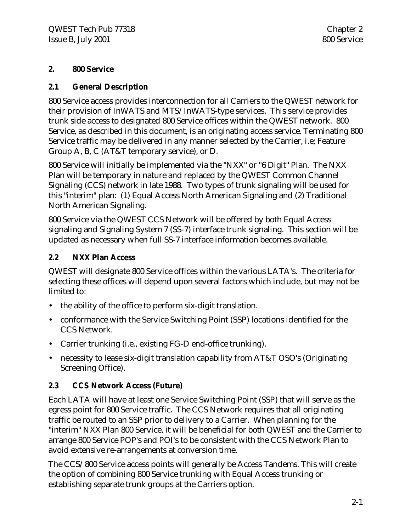#### **2. 800 Service**

#### **2.1 General Description**

800 Service access provides interconnection for all Carriers to the QWEST network for their provision of InWATS and MTS/InWATS-type services. This service provides trunk side access to designated 800 Service offices within the QWEST network. 800 Service, as described in this document, is an originating access service. Terminating 800 Service traffic may be delivered in any manner selected by the Carrier, i.e; Feature Group A, B, C (AT&T temporary service), or D.

800 Service will initially be implemented via the "NXX" or "6 Digit" Plan. The NXX Plan will be temporary in nature and replaced by the QWEST Common Channel Signaling (CCS) network in late 1988. Two types of trunk signaling will be used for this "interim" plan: (1) Equal Access North American Signaling and (2) Traditional North American Signaling.

800 Service via the QWEST CCS Network will be offered by both Equal Access signaling and Signaling System 7 (SS-7) interface trunk signaling. This section will be updated as necessary when full SS-7 interface information becomes available.

#### **2.2 NXX Plan Access**

QWEST will designate 800 Service offices within the various LATA's. The criteria for selecting these offices will depend upon several factors which include, but may not be limited to:

- the ability of the office to perform six-digit translation.
- conformance with the Service Switching Point (SSP) locations identified for the CCS Network.
- Carrier trunking (i.e., existing FG-D end-office trunking).
- necessity to lease six-digit translation capability from AT&T OSO's (Originating Screening Office).

#### **2.3 CCS Network Access (Future)**

Each LATA will have at least one Service Switching Point (SSP) that will serve as the egress point for 800 Service traffic. The CCS Network requires that all originating traffic be routed to an SSP prior to delivery to a Carrier. When planning for the "interim" NXX Plan 800 Service, it will be beneficial for both QWEST and the Carrier to arrange 800 Service POP's and POI's to be consistent with the CCS Network Plan to avoid extensive re-arrangements at conversion time.

The CCS/800 Service access points will generally be Access Tandems. This will create the option of combining 800 Service trunking with Equal Access trunking or establishing separate trunk groups at the Carriers option.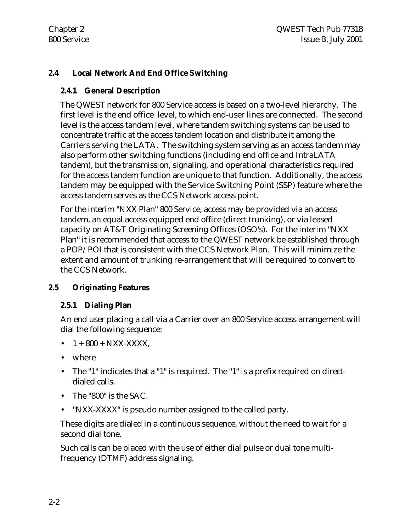### **2.4 Local Network And End Office Switching**

#### **2.4.1 General Description**

The QWEST network for 800 Service access is based on a two-level hierarchy. The first level is the end office level, to which end-user lines are connected. The second level is the access tandem level, where tandem switching systems can be used to concentrate traffic at the access tandem location and distribute it among the Carriers serving the LATA. The switching system serving as an access tandem may also perform other switching functions (including end office and IntraLATA tandem), but the transmission, signaling, and operational characteristics required for the access tandem function are unique to that function. Additionally, the access tandem may be equipped with the Service Switching Point (SSP) feature where the access tandem serves as the CCS Network access point.

For the interim "NXX Plan" 800 Service, access may be provided via an access tandem, an equal access equipped end office (direct trunking), or via leased capacity on AT&T Originating Screening Offices (OSO's). For the interim "NXX Plan" it is recommended that access to the QWEST network be established through a POP/POI that is consistent with the CCS Network Plan. This will minimize the extent and amount of trunking re-arrangement that will be required to convert to the CCS Network.

# **2.5 Originating Features**

#### **2.5.1 Dialing Plan**

An end user placing a call via a Carrier over an 800 Service access arrangement will dial the following sequence:

- $1 + 800 + NXX-XXXX$ ,
- where
- The "1" indicates that a "1" is required. The "1" is a prefix required on directdialed calls.
- The "800" is the SAC.
- "NXX-XXXX" is pseudo number assigned to the called party.

These digits are dialed in a continuous sequence, without the need to wait for a second dial tone.

Such calls can be placed with the use of either dial pulse or dual tone multifrequency (DTMF) address signaling.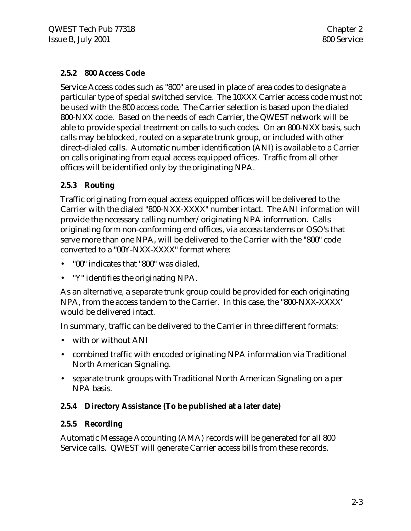#### **2.5.2 800 Access Code**

Service Access codes such as "800" are used in place of area codes to designate a particular type of special switched service. The 10XXX Carrier access code must not be used with the 800 access code. The Carrier selection is based upon the dialed 800-NXX code. Based on the needs of each Carrier, the QWEST network will be able to provide special treatment on calls to such codes. On an 800-NXX basis, such calls may be blocked, routed on a separate trunk group, or included with other direct-dialed calls. Automatic number identification (ANI) is available to a Carrier on calls originating from equal access equipped offices. Traffic from all other offices will be identified only by the originating NPA.

#### **2.5.3 Routing**

Traffic originating from equal access equipped offices will be delivered to the Carrier with the dialed "800-NXX-XXXX" number intact. The ANI information will provide the necessary calling number/originating NPA information. Calls originating form non-conforming end offices, via access tandems or OSO's that serve more than one NPA, will be delivered to the Carrier with the "800" code converted to a "00Y-NXX-XXXX" format where:

- "00" indicates that "800" was dialed,
- "Y" identifies the originating NPA.

As an alternative, a separate trunk group could be provided for each originating NPA, from the access tandem to the Carrier. In this case, the "800-NXX-XXXX" would be delivered intact.

In summary, traffic can be delivered to the Carrier in three different formats:

- with or without ANI
- combined traffic with encoded originating NPA information via Traditional North American Signaling.
- separate trunk groups with Traditional North American Signaling on a per NPA basis.

#### **2.5.4 Directory Assistance (To be published at a later date)**

#### **2.5.5 Recording**

Automatic Message Accounting (AMA) records will be generated for all 800 Service calls. QWEST will generate Carrier access bills from these records.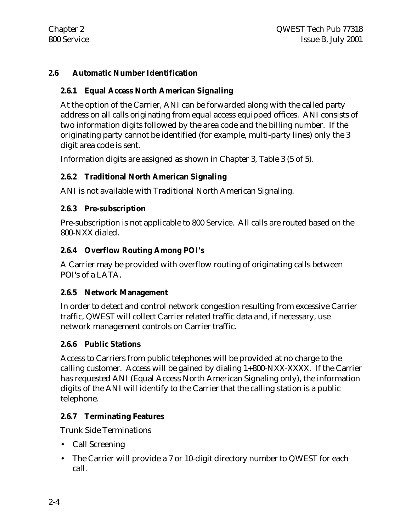#### **2.6 Automatic Number Identification**

#### **2.6.1 Equal Access North American Signaling**

At the option of the Carrier, ANI can be forwarded along with the called party address on all calls originating from equal access equipped offices. ANI consists of two information digits followed by the area code and the billing number. If the originating party cannot be identified (for example, multi-party lines) only the 3 digit area code is sent.

Information digits are assigned as shown in Chapter 3, Table 3 (5 of 5).

#### **2.6.2 Traditional North American Signaling**

ANI is not available with Traditional North American Signaling.

#### **2.6.3 Pre-subscription**

Pre-subscription is not applicable to 800 Service. All calls are routed based on the 800-NXX dialed.

#### **2.6.4 Overflow Routing Among POI's**

A Carrier may be provided with overflow routing of originating calls between POI's of a LATA.

#### **2.6.5 Network Management**

In order to detect and control network congestion resulting from excessive Carrier traffic, QWEST will collect Carrier related traffic data and, if necessary, use network management controls on Carrier traffic.

#### **2.6.6 Public Stations**

Access to Carriers from public telephones will be provided at no charge to the calling customer. Access will be gained by dialing 1+800-NXX-XXXX. If the Carrier has requested ANI (Equal Access North American Signaling only), the information digits of the ANI will identify to the Carrier that the calling station is a public telephone.

#### **2.6.7 Terminating Features**

Trunk Side Terminations

- Call Screening
- The Carrier will provide a 7 or 10-digit directory number to QWEST for each call.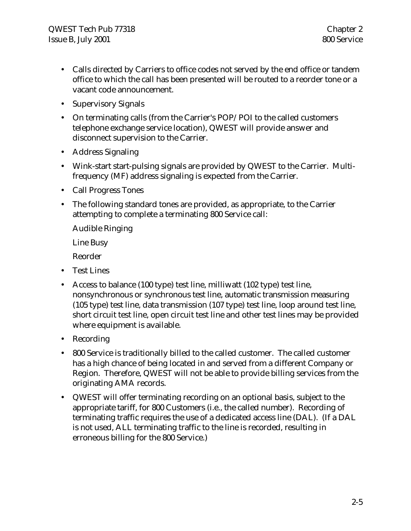- Calls directed by Carriers to office codes not served by the end office or tandem office to which the call has been presented will be routed to a reorder tone or a vacant code announcement.
- Supervisory Signals
- On terminating calls (from the Carrier's POP/POI to the called customers telephone exchange service location), QWEST will provide answer and disconnect supervision to the Carrier.
- Address Signaling
- Wink-start start-pulsing signals are provided by QWEST to the Carrier. Multifrequency (MF) address signaling is expected from the Carrier.
- Call Progress Tones
- The following standard tones are provided, as appropriate, to the Carrier attempting to complete a terminating 800 Service call:

Audible Ringing

Line Busy

Reorder

- Test Lines
- Access to balance (100 type) test line, milliwatt (102 type) test line, nonsynchronous or synchronous test line, automatic transmission measuring (105 type) test line, data transmission (107 type) test line, loop around test line, short circuit test line, open circuit test line and other test lines may be provided where equipment is available.
- Recording
- 800 Service is traditionally billed to the called customer. The called customer has a high chance of being located in and served from a different Company or Region. Therefore, QWEST will not be able to provide billing services from the originating AMA records.
- QWEST will offer terminating recording on an optional basis, subject to the appropriate tariff, for 800 Customers (i.e., the called number). Recording of terminating traffic requires the use of a dedicated access line (DAL). (If a DAL is not used, ALL terminating traffic to the line is recorded, resulting in erroneous billing for the 800 Service.)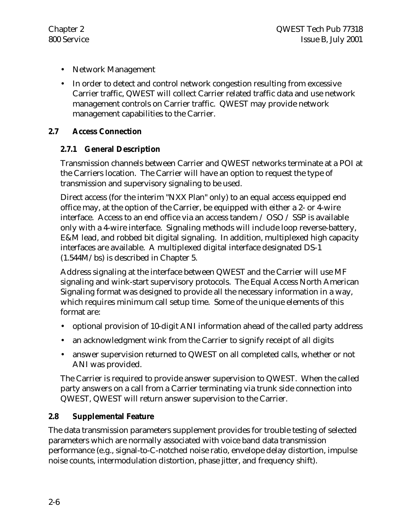- Network Management
- In order to detect and control network congestion resulting from excessive Carrier traffic, QWEST will collect Carrier related traffic data and use network management controls on Carrier traffic. QWEST may provide network management capabilities to the Carrier.

#### **2.7 Access Connection**

#### **2.7.1 General Description**

Transmission channels between Carrier and QWEST networks terminate at a POI at the Carriers location. The Carrier will have an option to request the type of transmission and supervisory signaling to be used.

Direct access (for the interim "NXX Plan" only) to an equal access equipped end office may, at the option of the Carrier, be equipped with either a 2- or 4-wire interface. Access to an end office via an access tandem / OSO / SSP is available only with a 4-wire interface. Signaling methods will include loop reverse-battery, E&M lead, and robbed bit digital signaling. In addition, multiplexed high capacity interfaces are available. A multiplexed digital interface designated DS-1 (1.544M/bs) is described in Chapter 5.

Address signaling at the interface between QWEST and the Carrier will use MF signaling and wink-start supervisory protocols. The Equal Access North American Signaling format was designed to provide all the necessary information in a way, which requires minimum call setup time. Some of the unique elements of this format are:

- optional provision of 10-digit ANI information ahead of the called party address
- an acknowledgment wink from the Carrier to signify receipt of all digits
- answer supervision returned to QWEST on all completed calls, whether or not ANI was provided.

The Carrier is required to provide answer supervision to QWEST. When the called party answers on a call from a Carrier terminating via trunk side connection into QWEST, QWEST will return answer supervision to the Carrier.

#### **2.8 Supplemental Feature**

The data transmission parameters supplement provides for trouble testing of selected parameters which are normally associated with voice band data transmission performance (e.g., signal-to-C-notched noise ratio, envelope delay distortion, impulse noise counts, intermodulation distortion, phase jitter, and frequency shift).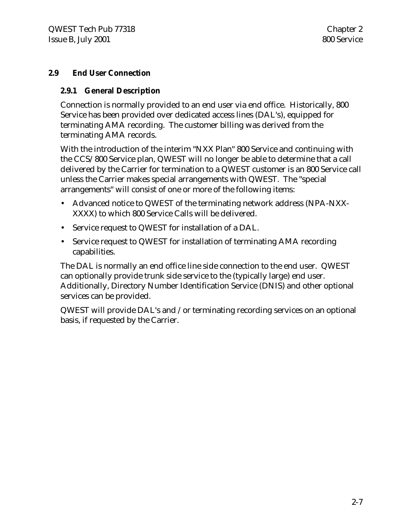#### **2.9 End User Connection**

#### **2.9.1 General Description**

Connection is normally provided to an end user via end office. Historically, 800 Service has been provided over dedicated access lines (DAL's), equipped for terminating AMA recording. The customer billing was derived from the terminating AMA records.

With the introduction of the interim "NXX Plan" 800 Service and continuing with the CCS/800 Service plan, QWEST will no longer be able to determine that a call delivered by the Carrier for termination to a QWEST customer is an 800 Service call unless the Carrier makes special arrangements with QWEST. The "special arrangements" will consist of one or more of the following items:

- Advanced notice to QWEST of the terminating network address (NPA-NXX-XXXX) to which 800 Service Calls will be delivered.
- Service request to QWEST for installation of a DAL.
- Service request to QWEST for installation of terminating AMA recording capabilities.

The DAL is normally an end office line side connection to the end user. QWEST can optionally provide trunk side service to the (typically large) end user. Additionally, Directory Number Identification Service (DNIS) and other optional services can be provided.

QWEST will provide DAL's and /or terminating recording services on an optional basis, if requested by the Carrier.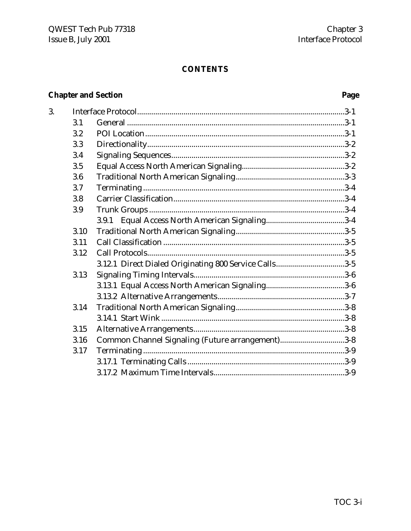# **CONTENTS**

# **Chapter and Section**

3.

# Page

| 3.1  |                                                       |  |
|------|-------------------------------------------------------|--|
| 3.2  |                                                       |  |
| 3.3  |                                                       |  |
| 3.4  |                                                       |  |
| 3.5  |                                                       |  |
| 3.6  |                                                       |  |
| 3.7  |                                                       |  |
| 3.8  |                                                       |  |
| 3.9  |                                                       |  |
|      |                                                       |  |
| 3.10 |                                                       |  |
| 3.11 |                                                       |  |
| 3.12 |                                                       |  |
|      | 3.12.1 Direct Dialed Originating 800 Service Calls3-5 |  |
| 3.13 |                                                       |  |
|      |                                                       |  |
|      |                                                       |  |
| 3.14 |                                                       |  |
|      |                                                       |  |
| 3.15 |                                                       |  |
| 3.16 | Common Channel Signaling (Future arrangement)3-8      |  |
| 3.17 |                                                       |  |
|      |                                                       |  |
|      |                                                       |  |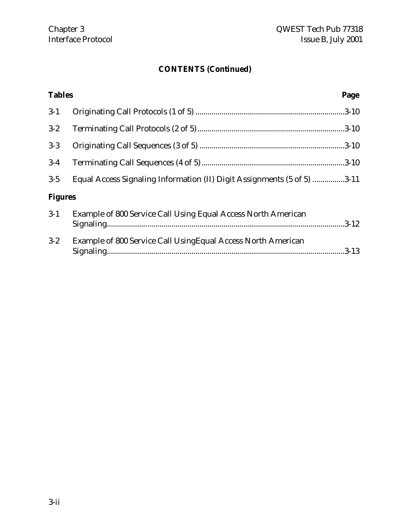| <b>Tables</b>  | Page                                                                    |
|----------------|-------------------------------------------------------------------------|
| $3-1$          |                                                                         |
| $3 - 2$        |                                                                         |
| $3-3$          |                                                                         |
| $3-4$          |                                                                         |
| $3-5$          | Equal Access Signaling Information (II) Digit Assignments (5 of 5) 3-11 |
| <b>Figures</b> |                                                                         |
| $3-1$          | Example of 800 Service Call Using Equal Access North American           |
| $3 - 2$        | Example of 800 Service Call Using Equal Access North American           |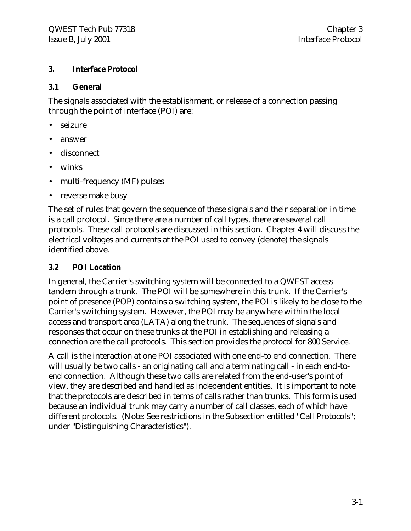#### **3. Interface Protocol**

#### **3.1 General**

The signals associated with the establishment, or release of a connection passing through the point of interface (POI) are:

- seizure
- answer
- disconnect
- winks
- multi-frequency (MF) pulses
- reverse make busy

The set of rules that govern the sequence of these signals and their separation in time is a call protocol. Since there are a number of call types, there are several call protocols. These call protocols are discussed in this section. Chapter 4 will discuss the electrical voltages and currents at the POI used to convey (denote) the signals identified above.

#### **3.2 POI Location**

In general, the Carrier's switching system will be connected to a QWEST access tandem through a trunk. The POI will be somewhere in this trunk. If the Carrier's point of presence (POP) contains a switching system, the POI is likely to be close to the Carrier's switching system. However, the POI may be anywhere within the local access and transport area (LATA) along the trunk. The sequences of signals and responses that occur on these trunks at the POI in establishing and releasing a connection are the call protocols. This section provides the protocol for 800 Service.

A call is the interaction at one POI associated with one end-to end connection. There will usually be two calls - an originating call and a terminating call - in each end-toend connection. Although these two calls are related from the end-user's point of view, they are described and handled as independent entities. It is important to note that the protocols are described in terms of calls rather than trunks. This form is used because an individual trunk may carry a number of call classes, each of which have different protocols. (Note: See restrictions in the Subsection entitled "Call Protocols"; under "Distinguishing Characteristics").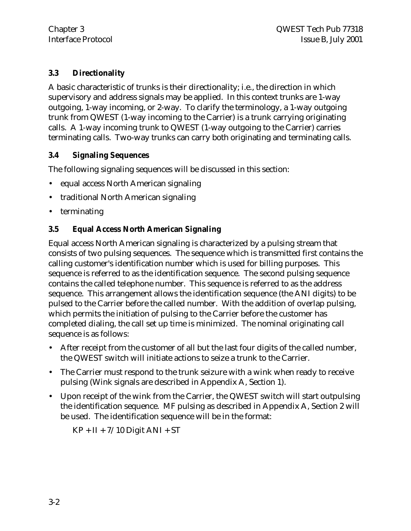#### **3.3 Directionality**

A basic characteristic of trunks is their directionality; i.e., the direction in which supervisory and address signals may be applied. In this context trunks are 1-way outgoing, 1-way incoming, or 2-way. To clarify the terminology, a 1-way outgoing trunk from QWEST (1-way incoming to the Carrier) is a trunk carrying originating calls. A 1-way incoming trunk to QWEST (1-way outgoing to the Carrier) carries terminating calls. Two-way trunks can carry both originating and terminating calls.

#### **3.4 Signaling Sequences**

The following signaling sequences will be discussed in this section:

- equal access North American signaling
- traditional North American signaling
- terminating

# **3.5 Equal Access North American Signaling**

Equal access North American signaling is characterized by a pulsing stream that consists of two pulsing sequences. The sequence which is transmitted first contains the calling customer's identification number which is used for billing purposes. This sequence is referred to as the identification sequence. The second pulsing sequence contains the called telephone number. This sequence is referred to as the address sequence. This arrangement allows the identification sequence (the ANI digits) to be pulsed to the Carrier before the called number. With the addition of overlap pulsing, which permits the initiation of pulsing to the Carrier before the customer has completed dialing, the call set up time is minimized. The nominal originating call sequence is as follows:

- After receipt from the customer of all but the last four digits of the called number, the QWEST switch will initiate actions to seize a trunk to the Carrier.
- The Carrier must respond to the trunk seizure with a wink when ready to receive pulsing (Wink signals are described in Appendix A, Section 1).
- Upon receipt of the wink from the Carrier, the QWEST switch will start outpulsing the identification sequence. MF pulsing as described in Appendix A, Section 2 will be used. The identification sequence will be in the format:

 $KP + II + 7/10$  Digit ANI + ST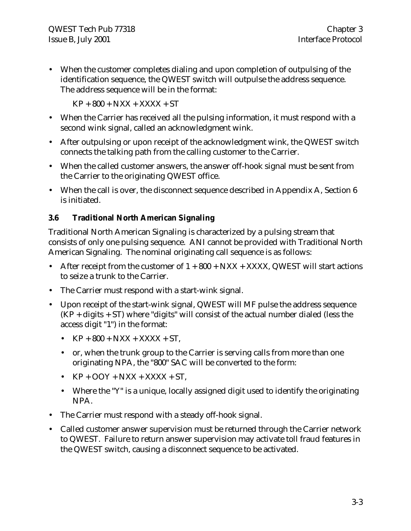• When the customer completes dialing and upon completion of outpulsing of the identification sequence, the QWEST switch will outpulse the address sequence. The address sequence will be in the format:

 $KP + 800 + NXX + XXXX + ST$ 

- When the Carrier has received all the pulsing information, it must respond with a second wink signal, called an acknowledgment wink.
- After outpulsing or upon receipt of the acknowledgment wink, the QWEST switch connects the talking path from the calling customer to the Carrier.
- When the called customer answers, the answer off-hook signal must be sent from the Carrier to the originating QWEST office.
- When the call is over, the disconnect sequence described in Appendix A, Section 6 is initiated.

# **3.6 Traditional North American Signaling**

Traditional North American Signaling is characterized by a pulsing stream that consists of only one pulsing sequence. ANI cannot be provided with Traditional North American Signaling. The nominal originating call sequence is as follows:

- After receipt from the customer of  $1 + 800 + NXX + XXXX$ , QWEST will start actions to seize a trunk to the Carrier.
- The Carrier must respond with a start-wink signal.
- Upon receipt of the start-wink signal, QWEST will MF pulse the address sequence  $(KP + \text{digits} + ST)$  where "digits" will consist of the actual number dialed (less the access digit "1") in the format:
	- $KP + 800 + NXX + XXXX + ST$ ,
	- or, when the trunk group to the Carrier is serving calls from more than one originating NPA, the "800" SAC will be converted to the form:
	- $KP + OOY + NXX + XXXX + ST$ .
	- Where the "Y" is a unique, locally assigned digit used to identify the originating NPA.
- The Carrier must respond with a steady off-hook signal.
- Called customer answer supervision must be returned through the Carrier network to QWEST. Failure to return answer supervision may activate toll fraud features in the QWEST switch, causing a disconnect sequence to be activated.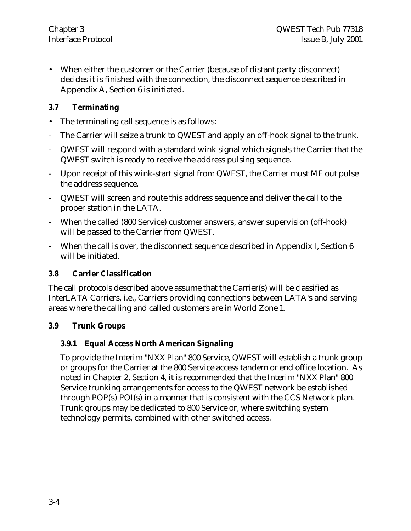• When either the customer or the Carrier (because of distant party disconnect) decides it is finished with the connection, the disconnect sequence described in Appendix A, Section 6 is initiated.

#### **3.7 Terminating**

- The terminating call sequence is as follows:
- The Carrier will seize a trunk to QWEST and apply an off-hook signal to the trunk.
- QWEST will respond with a standard wink signal which signals the Carrier that the QWEST switch is ready to receive the address pulsing sequence.
- Upon receipt of this wink-start signal from QWEST, the Carrier must MF out pulse the address sequence.
- QWEST will screen and route this address sequence and deliver the call to the proper station in the LATA.
- When the called (800 Service) customer answers, answer supervision (off-hook) will be passed to the Carrier from QWEST.
- When the call is over, the disconnect sequence described in Appendix I, Section 6 will be initiated.

#### **3.8 Carrier Classification**

The call protocols described above assume that the Carrier(s) will be classified as InterLATA Carriers, i.e., Carriers providing connections between LATA's and serving areas where the calling and called customers are in World Zone 1.

#### **3.9 Trunk Groups**

#### **3.9.1 Equal Access North American Signaling**

To provide the Interim "NXX Plan" 800 Service, QWEST will establish a trunk group or groups for the Carrier at the 800 Service access tandem or end office location. As noted in Chapter 2, Section 4, it is recommended that the Interim "NXX Plan" 800 Service trunking arrangements for access to the QWEST network be established through POP(s) POI(s) in a manner that is consistent with the CCS Network plan. Trunk groups may be dedicated to 800 Service or, where switching system technology permits, combined with other switched access.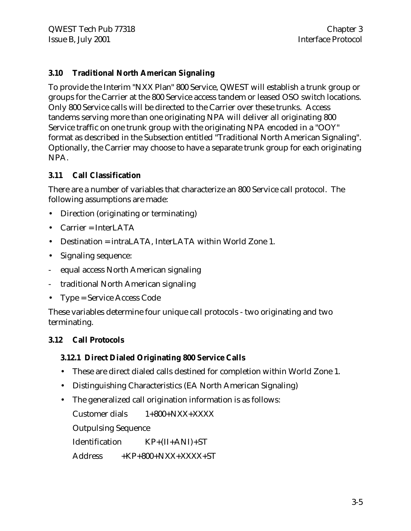#### **3.10 Traditional North American Signaling**

To provide the Interim "NXX Plan" 800 Service, QWEST will establish a trunk group or groups for the Carrier at the 800 Service access tandem or leased OSO switch locations. Only 800 Service calls will be directed to the Carrier over these trunks. Access tandems serving more than one originating NPA will deliver all originating 800 Service traffic on one trunk group with the originating NPA encoded in a "OOY" format as described in the Subsection entitled "Traditional North American Signaling". Optionally, the Carrier may choose to have a separate trunk group for each originating NPA.

#### **3.11 Call Classification**

There are a number of variables that characterize an 800 Service call protocol. The following assumptions are made:

- Direction (originating or terminating)
- Carrier = InterLATA
- Destination = intraLATA, InterLATA within World Zone 1.
- Signaling sequence:
- equal access North American signaling
- traditional North American signaling
- Type = Service Access Code

These variables determine four unique call protocols - two originating and two terminating.

#### **3.12 Call Protocols**

#### **3.12.1 Direct Dialed Originating 800 Service Calls**

- These are direct dialed calls destined for completion within World Zone 1.
- Distinguishing Characteristics (EA North American Signaling)
- The generalized call origination information is as follows:

Customer dials 1+800+NXX+XXXX Outpulsing Sequence Identification KP+(II+ANI)+ST

Address +KP+800+NXX+XXXX+ST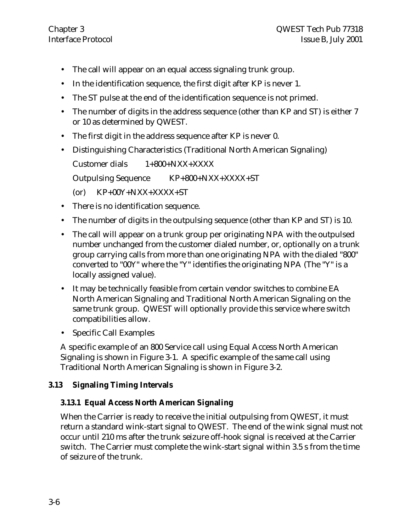- The call will appear on an equal access signaling trunk group.
- In the identification sequence, the first digit after KP is never 1.
- The ST pulse at the end of the identification sequence is not primed.
- The number of digits in the address sequence (other than KP and ST) is either 7 or 10 as determined by QWEST.
- The first digit in the address sequence after KP is never 0.
- Distinguishing Characteristics (Traditional North American Signaling)

Customer dials 1+800+NXX+XXXX

Outpulsing Sequence KP+800+NXX+XXXX+ST

- $(Cor)$  KP+00Y+NXX+XXXX+ST
- There is no identification sequence.
- The number of digits in the outpulsing sequence (other than KP and ST) is 10.
- The call will appear on a trunk group per originating NPA with the outpulsed number unchanged from the customer dialed number, or, optionally on a trunk group carrying calls from more than one originating NPA with the dialed "800" converted to "00Y" where the "Y" identifies the originating NPA (The "Y" is a locally assigned value).
- It may be technically feasible from certain vendor switches to combine EA North American Signaling and Traditional North American Signaling on the same trunk group. QWEST will optionally provide this service where switch compatibilities allow.
- Specific Call Examples

A specific example of an 800 Service call using Equal Access North American Signaling is shown in Figure 3-1. A specific example of the same call using Traditional North American Signaling is shown in Figure 3-2.

#### **3.13 Signaling Timing Intervals**

#### **3.13.1 Equal Access North American Signaling**

When the Carrier is ready to receive the initial outpulsing from QWEST, it must return a standard wink-start signal to QWEST. The end of the wink signal must not occur until 210 ms after the trunk seizure off-hook signal is received at the Carrier switch. The Carrier must complete the wink-start signal within 3.5 s from the time of seizure of the trunk.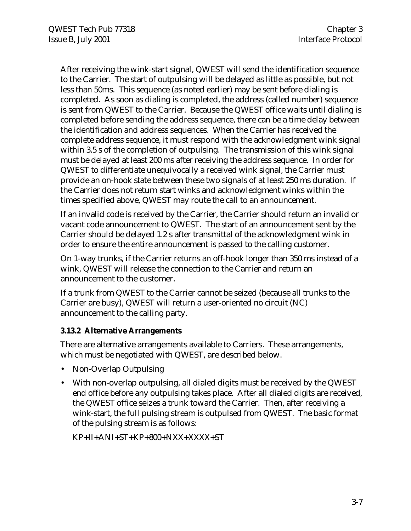After receiving the wink-start signal, QWEST will send the identification sequence to the Carrier. The start of outpulsing will be delayed as little as possible, but not less than 50ms. This sequence (as noted earlier) may be sent before dialing is completed. As soon as dialing is completed, the address (called number) sequence is sent from QWEST to the Carrier. Because the QWEST office waits until dialing is completed before sending the address sequence, there can be a time delay between the identification and address sequences. When the Carrier has received the complete address sequence, it must respond with the acknowledgment wink signal within 3.5 s of the completion of outpulsing. The transmission of this wink signal must be delayed at least 200 ms after receiving the address sequence. In order for QWEST to differentiate unequivocally a received wink signal, the Carrier must provide an on-hook state between these two signals of at least 250 ms duration. If the Carrier does not return start winks and acknowledgment winks within the times specified above, QWEST may route the call to an announcement.

If an invalid code is received by the Carrier, the Carrier should return an invalid or vacant code announcement to QWEST. The start of an announcement sent by the Carrier should be delayed 1.2 s after transmittal of the acknowledgment wink in order to ensure the entire announcement is passed to the calling customer.

On 1-way trunks, if the Carrier returns an off-hook longer than 350 ms instead of a wink, QWEST will release the connection to the Carrier and return an announcement to the customer.

If a trunk from QWEST to the Carrier cannot be seized (because all trunks to the Carrier are busy), QWEST will return a user-oriented no circuit (NC) announcement to the calling party.

#### **3.13.2 Alternative Arrangements**

There are alternative arrangements available to Carriers. These arrangements, which must be negotiated with QWEST, are described below.

- Non-Overlap Outpulsing
- With non-overlap outpulsing, all dialed digits must be received by the QWEST end office before any outpulsing takes place. After all dialed digits are received, the QWEST office seizes a trunk toward the Carrier. Then, after receiving a wink-start, the full pulsing stream is outpulsed from QWEST. The basic format of the pulsing stream is as follows:

 $KP+II+ANI+ST+KP+800+NXX+XXXX+ST$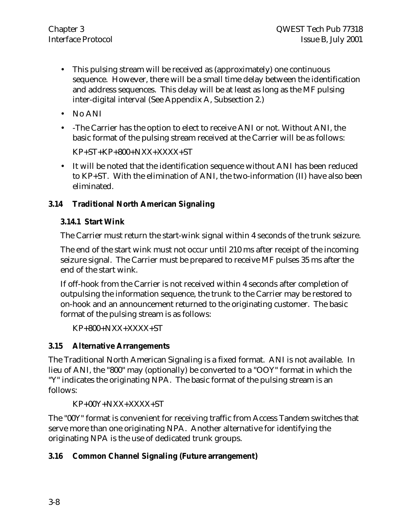- This pulsing stream will be received as (approximately) one continuous sequence. However, there will be a small time delay between the identification and address sequences. This delay will be at least as long as the MF pulsing inter-digital interval (See Appendix A, Subsection 2.)
- No ANI
- -The Carrier has the option to elect to receive ANI or not. Without ANI, the basic format of the pulsing stream received at the Carrier will be as follows:

 $KP+ST+KP+800+NXX+XXXX+ST$ 

• It will be noted that the identification sequence without ANI has been reduced to KP+ST. With the elimination of ANI, the two-information (II) have also been eliminated.

### **3.14 Traditional North American Signaling**

### **3.14.1 Start Wink**

The Carrier must return the start-wink signal within 4 seconds of the trunk seizure.

The end of the start wink must not occur until 210 ms after receipt of the incoming seizure signal. The Carrier must be prepared to receive MF pulses 35 ms after the end of the start wink.

If off-hook from the Carrier is not received within 4 seconds after completion of outpulsing the information sequence, the trunk to the Carrier may be restored to on-hook and an announcement returned to the originating customer. The basic format of the pulsing stream is as follows:

 $KP+800+NXX+XXXX+ST$ 

# **3.15 Alternative Arrangements**

The Traditional North American Signaling is a fixed format. ANI is not available. In lieu of ANI, the "800" may (optionally) be converted to a "OOY" format in which the "Y" indicates the originating NPA. The basic format of the pulsing stream is an follows:

KP+00Y+NXX+XXXX+ST

The "00Y" format is convenient for receiving traffic from Access Tandem switches that serve more than one originating NPA. Another alternative for identifying the originating NPA is the use of dedicated trunk groups.

# **3.16 Common Channel Signaling (Future arrangement)**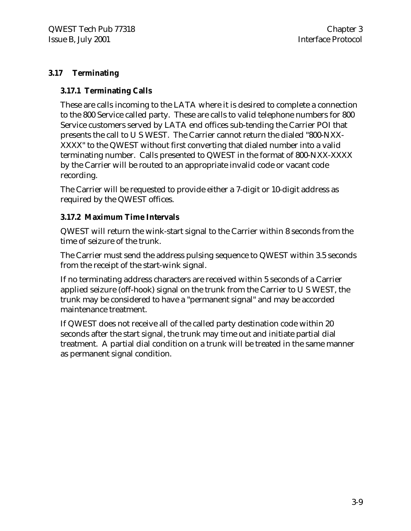#### **3.17 Terminating**

#### **3.17.1 Terminating Calls**

These are calls incoming to the LATA where it is desired to complete a connection to the 800 Service called party. These are calls to valid telephone numbers for 800 Service customers served by LATA end offices sub-tending the Carrier POI that presents the call to U S WEST. The Carrier cannot return the dialed "800-NXX-XXXX" to the QWEST without first converting that dialed number into a valid terminating number. Calls presented to QWEST in the format of 800-NXX-XXXX by the Carrier will be routed to an appropriate invalid code or vacant code recording.

The Carrier will be requested to provide either a 7-digit or 10-digit address as required by the QWEST offices.

#### **3.17.2 Maximum Time Intervals**

QWEST will return the wink-start signal to the Carrier within 8 seconds from the time of seizure of the trunk.

The Carrier must send the address pulsing sequence to QWEST within 3.5 seconds from the receipt of the start-wink signal.

If no terminating address characters are received within 5 seconds of a Carrier applied seizure (off-hook) signal on the trunk from the Carrier to U S WEST, the trunk may be considered to have a "permanent signal" and may be accorded maintenance treatment.

If QWEST does not receive all of the called party destination code within 20 seconds after the start signal, the trunk may time out and initiate partial dial treatment. A partial dial condition on a trunk will be treated in the same manner as permanent signal condition.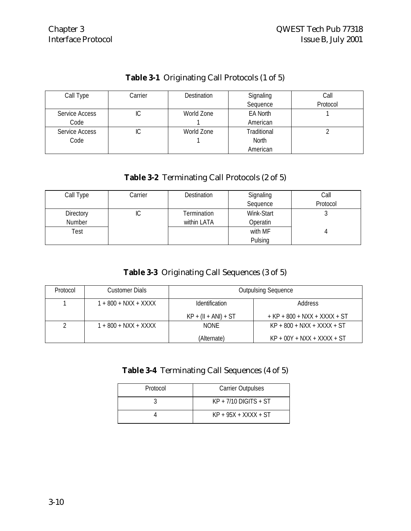#### **Table 3-1** Originating Call Protocols (1 of 5)

| Call Type             | Carrier | <b>Destination</b> | Signaling   | Call     |
|-----------------------|---------|--------------------|-------------|----------|
|                       |         |                    | Sequence    | Protocol |
| Service Access        | IС      | World Zone         | EA North    |          |
| Code                  |         |                    | American    |          |
| <b>Service Access</b> | IС      | World Zone         | Traditional |          |
| Code                  |         |                    | North       |          |
|                       |         |                    | American    |          |

#### **Table 3-2** Terminating Call Protocols (2 of 5)

| Call Type | Carrier | <b>Destination</b> | Signaling  | Call     |
|-----------|---------|--------------------|------------|----------|
|           |         |                    | Sequence   | Protocol |
| Directory | ΙU      | Termination        | Wink-Start |          |
| Number    |         | within LATA        | Operatin   |          |
| Test      |         |                    | with MF    |          |
|           |         |                    | Pulsing    |          |

#### **Table 3-3** Originating Call Sequences (3 of 5)

| Protocol | Customer Dials       | <b>Outpulsing Sequence</b> |                                |  |  |
|----------|----------------------|----------------------------|--------------------------------|--|--|
|          | 1 + 800 + NXX + XXXX | <b>Identification</b>      | Address                        |  |  |
|          |                      | $KP + (II + ANI) + ST$     | $+$ KP + 800 + NXX + XXXX + ST |  |  |
|          | 1 + 800 + NXX + XXXX | <b>NONF</b>                | $KP + 800 + NXX + XXXX + ST$   |  |  |
|          |                      | (Alternate)                | $KP + 00Y + NXX + XXXX + ST$   |  |  |

# **Table 3-4** Terminating Call Sequences (4 of 5)

| Protocol | <b>Carrier Outpulses</b> |  |
|----------|--------------------------|--|
|          | $KP + 7/10$ DIGITS + ST  |  |
|          | $KP + 95X + XXXX + ST$   |  |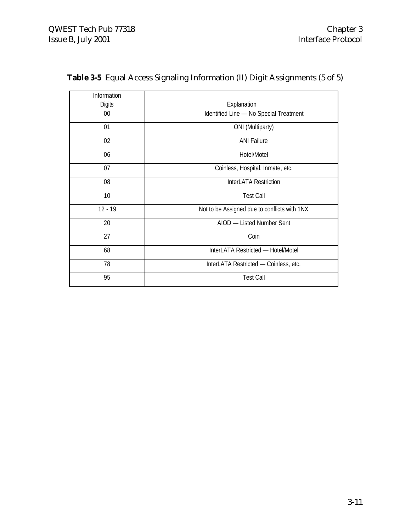| Information |                                              |  |  |
|-------------|----------------------------------------------|--|--|
| Digits      | Explanation                                  |  |  |
| $00\,$      | Identified Line - No Special Treatment       |  |  |
| 01          | ONI (Multiparty)                             |  |  |
| 02          | <b>ANI Failure</b>                           |  |  |
| 06          | Hotel/Motel                                  |  |  |
| 07          | Coinless, Hospital, Inmate, etc.             |  |  |
| 08          | InterLATA Restriction                        |  |  |
| 10          | <b>Test Call</b>                             |  |  |
| $12 - 19$   | Not to be Assigned due to conflicts with 1NX |  |  |
| 20          | AIOD - Listed Number Sent                    |  |  |
| 27          | Coin                                         |  |  |
| 68          | InterLATA Restricted - Hotel/Motel           |  |  |
| 78          | InterLATA Restricted - Coinless, etc.        |  |  |
| 95          | <b>Test Call</b>                             |  |  |

# **Table 3-5** Equal Access Signaling Information (II) Digit Assignments (5 of 5)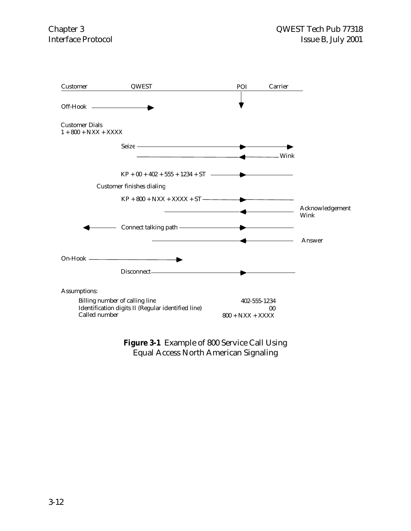

#### **Figure 3-1** Example of 800 Service Call Using Equal Access North American Signaling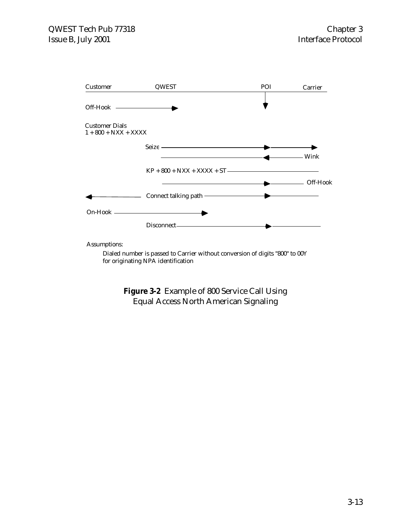

Assumptions:

Dialed number is passed to Carrier without conversion of digits "800" to 00Y for originating NPA identification

**Figure 3-2** Example of 800 Service Call Using Equal Access North American Signaling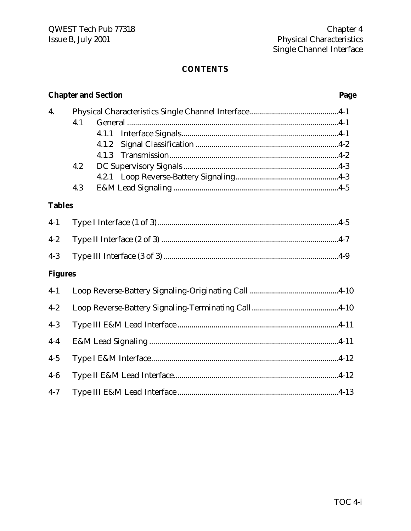#### **CONTENTS**

|                | <b>Chapter and Section</b> |                         |  | Page |  |
|----------------|----------------------------|-------------------------|--|------|--|
| 4.             | 4.1                        | 4.1.1<br>4.1.2<br>4.1.3 |  |      |  |
|                | 4.2<br>4.3                 |                         |  |      |  |
| <b>Tables</b>  |                            |                         |  |      |  |
| $4-1$          |                            |                         |  |      |  |
| $4 - 2$        |                            |                         |  |      |  |
| $4 - 3$        |                            |                         |  |      |  |
| <b>Figures</b> |                            |                         |  |      |  |
| $4 - 1$        |                            |                         |  |      |  |
| $4 - 2$        |                            |                         |  |      |  |
| $4 - 3$        |                            |                         |  |      |  |
| $4-4$          |                            |                         |  |      |  |
| $4 - 5$        |                            |                         |  |      |  |
| $4-6$          |                            |                         |  |      |  |
| $4 - 7$        |                            |                         |  |      |  |

Chapter 4

Physical Characteristics

Single Channel Interface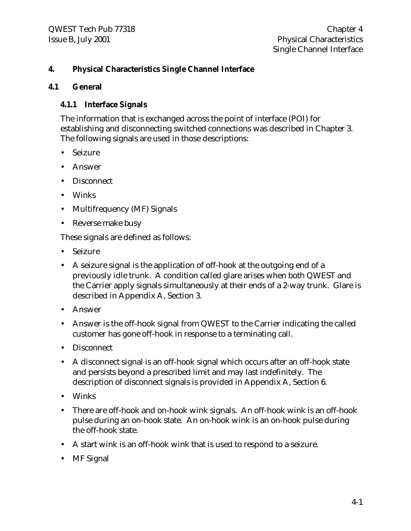#### **4. Physical Characteristics Single Channel Interface**

#### **4.1 General**

#### **4.1.1 Interface Signals**

The information that is exchanged across the point of interface (POI) for establishing and disconnecting switched connections was described in Chapter 3. The following signals are used in those descriptions:

- Seizure
- Answer
- Disconnect
- Winks
- Multifrequency (MF) Signals
- Reverse make busy

These signals are defined as follows:

- Seizure
- A seizure signal is the application of off-hook at the outgoing end of a previously idle trunk. A condition called glare arises when both QWEST and the Carrier apply signals simultaneously at their ends of a 2-way trunk. Glare is described in Appendix A, Section 3.
- Answer
- Answer is the off-hook signal from QWEST to the Carrier indicating the called customer has gone off-hook in response to a terminating call.
- Disconnect
- A disconnect signal is an off-hook signal which occurs after an off-hook state and persists beyond a prescribed limit and may last indefinitely. The description of disconnect signals is provided in Appendix A, Section 6.
- Winks
- There are off-hook and on-hook wink signals. An off-hook wink is an off-hook pulse during an on-hook state. An on-hook wink is an on-hook pulse during the off-hook state.
- A start wink is an off-hook wink that is used to respond to a seizure.
- MF Signal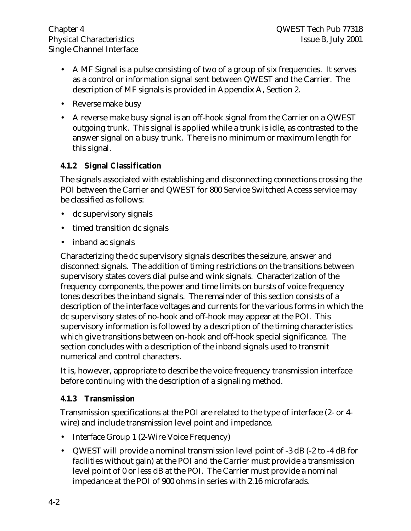- A MF Signal is a pulse consisting of two of a group of six frequencies. It serves as a control or information signal sent between QWEST and the Carrier. The description of MF signals is provided in Appendix A, Section 2.
- Reverse make busy
- A reverse make busy signal is an off-hook signal from the Carrier on a QWEST outgoing trunk. This signal is applied while a trunk is idle, as contrasted to the answer signal on a busy trunk. There is no minimum or maximum length for this signal.

#### **4.1.2 Signal Classification**

The signals associated with establishing and disconnecting connections crossing the POI between the Carrier and QWEST for 800 Service Switched Access service may be classified as follows:

- dc supervisory signals
- timed transition dc signals
- inband ac signals

Characterizing the dc supervisory signals describes the seizure, answer and disconnect signals. The addition of timing restrictions on the transitions between supervisory states covers dial pulse and wink signals. Characterization of the frequency components, the power and time limits on bursts of voice frequency tones describes the inband signals. The remainder of this section consists of a description of the interface voltages and currents for the various forms in which the dc supervisory states of no-hook and off-hook may appear at the POI. This supervisory information is followed by a description of the timing characteristics which give transitions between on-hook and off-hook special significance. The section concludes with a description of the inband signals used to transmit numerical and control characters.

It is, however, appropriate to describe the voice frequency transmission interface before continuing with the description of a signaling method.

#### **4.1.3 Transmission**

Transmission specifications at the POI are related to the type of interface (2- or 4 wire) and include transmission level point and impedance.

- Interface Group 1 (2-Wire Voice Frequency)
- QWEST will provide a nominal transmission level point of -3 dB (-2 to -4 dB for facilities without gain) at the POI and the Carrier must provide a transmission level point of 0 or less dB at the POI. The Carrier must provide a nominal impedance at the POI of 900 ohms in series with 2.16 microfarads.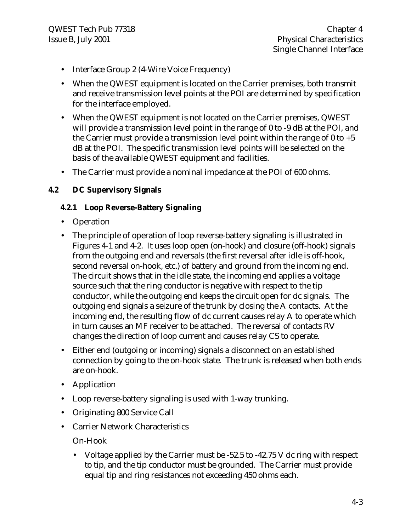- Interface Group 2 (4-Wire Voice Frequency)
- When the QWEST equipment is located on the Carrier premises, both transmit and receive transmission level points at the POI are determined by specification for the interface employed.
- When the QWEST equipment is not located on the Carrier premises, QWEST will provide a transmission level point in the range of 0 to -9 dB at the POI, and the Carrier must provide a transmission level point within the range of  $0$  to  $+5$ dB at the POI. The specific transmission level points will be selected on the basis of the available QWEST equipment and facilities.
- The Carrier must provide a nominal impedance at the POI of 600 ohms.

#### **4.2 DC Supervisory Signals**

#### **4.2.1 Loop Reverse-Battery Signaling**

- Operation
- The principle of operation of loop reverse-battery signaling is illustrated in Figures 4-1 and 4-2. It uses loop open (on-hook) and closure (off-hook) signals from the outgoing end and reversals (the first reversal after idle is off-hook, second reversal on-hook, etc.) of battery and ground from the incoming end. The circuit shows that in the idle state, the incoming end applies a voltage source such that the ring conductor is negative with respect to the tip conductor, while the outgoing end keeps the circuit open for dc signals. The outgoing end signals a seizure of the trunk by closing the A contacts. At the incoming end, the resulting flow of dc current causes relay A to operate which in turn causes an MF receiver to be attached. The reversal of contacts RV changes the direction of loop current and causes relay CS to operate.
- Either end (outgoing or incoming) signals a disconnect on an established connection by going to the on-hook state. The trunk is released when both ends are on-hook.
- Application
- Loop reverse-battery signaling is used with 1-way trunking.
- Originating 800 Service Call
- Carrier Network Characteristics

On-Hook

• Voltage applied by the Carrier must be -52.5 to -42.75 V dc ring with respect to tip, and the tip conductor must be grounded. The Carrier must provide equal tip and ring resistances not exceeding 450 ohms each.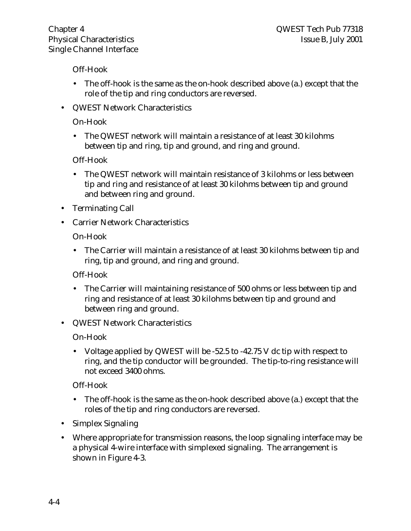Off-Hook

- The off-hook is the same as the on-hook described above (a.) except that the role of the tip and ring conductors are reversed.
- QWEST Network Characteristics

#### On-Hook

• The QWEST network will maintain a resistance of at least 30 kilohms between tip and ring, tip and ground, and ring and ground.

Off-Hook

- The QWEST network will maintain resistance of 3 kilohms or less between tip and ring and resistance of at least 30 kilohms between tip and ground and between ring and ground.
- Terminating Call
- Carrier Network Characteristics

On-Hook

• The Carrier will maintain a resistance of at least 30 kilohms between tip and ring, tip and ground, and ring and ground.

Off-Hook

- The Carrier will maintaining resistance of 500 ohms or less between tip and ring and resistance of at least 30 kilohms between tip and ground and between ring and ground.
- QWEST Network Characteristics

On-Hook

• Voltage applied by QWEST will be -52.5 to -42.75 V dc tip with respect to ring, and the tip conductor will be grounded. The tip-to-ring resistance will not exceed 3400 ohms.

Off-Hook

- The off-hook is the same as the on-hook described above (a.) except that the roles of the tip and ring conductors are reversed.
- Simplex Signaling
- Where appropriate for transmission reasons, the loop signaling interface may be a physical 4-wire interface with simplexed signaling. The arrangement is shown in Figure 4-3.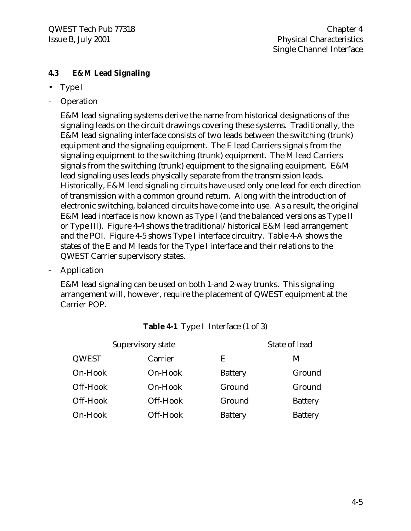#### **4.3 E&M Lead Signaling**

- Type I
- **Operation**

E&M lead signaling systems derive the name from historical designations of the signaling leads on the circuit drawings covering these systems. Traditionally, the E&M lead signaling interface consists of two leads between the switching (trunk) equipment and the signaling equipment. The E lead Carriers signals from the signaling equipment to the switching (trunk) equipment. The M lead Carriers signals from the switching (trunk) equipment to the signaling equipment. E&M lead signaling uses leads physically separate from the transmission leads. Historically, E&M lead signaling circuits have used only one lead for each direction of transmission with a common ground return. Along with the introduction of electronic switching, balanced circuits have come into use. As a result, the original E&M lead interface is now known as Type I (and the balanced versions as Type II or Type III). Figure 4-4 shows the traditional/historical E&M lead arrangement and the POI. Figure 4-5 shows Type I interface circuitry. Table 4-A shows the states of the E and M leads for the Type I interface and their relations to the QWEST Carrier supervisory states.

**Application** 

E&M lead signaling can be used on both 1-and 2-way trunks. This signaling arrangement will, however, require the placement of QWEST equipment at the Carrier POP.

| Supervisory state |          |                | State of lead   |  |  |
|-------------------|----------|----------------|-----------------|--|--|
| <b>QWEST</b>      | Carrier  | E              | $\underline{M}$ |  |  |
| On-Hook           | On-Hook  | <b>Battery</b> | Ground          |  |  |
| Off-Hook          | On-Hook  | Ground         | Ground          |  |  |
| Off-Hook          | Off-Hook | Ground         | <b>Battery</b>  |  |  |
| On-Hook           | Off-Hook | <b>Battery</b> | <b>Battery</b>  |  |  |

#### **Table 4-1** Type I Interface (1 of 3)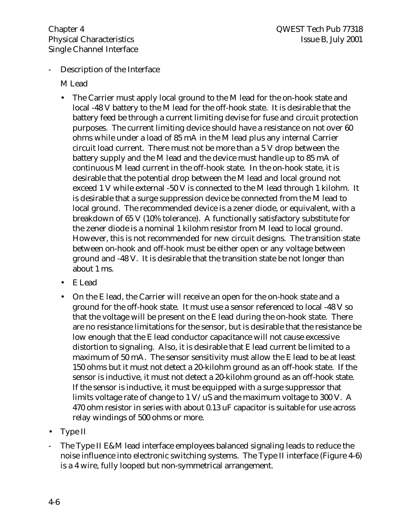Description of the Interface

M Lead

- The Carrier must apply local ground to the M lead for the on-hook state and local -48 V battery to the M lead for the off-hook state. It is desirable that the battery feed be through a current limiting devise for fuse and circuit protection purposes. The current limiting device should have a resistance on not over 60 ohms while under a load of 85 mA in the M lead plus any internal Carrier circuit load current. There must not be more than a 5 V drop between the battery supply and the M lead and the device must handle up to 85 mA of continuous M lead current in the off-hook state. In the on-hook state, it is desirable that the potential drop between the M lead and local ground not exceed 1 V while external -50 V is connected to the M lead through 1 kilohm. It is desirable that a surge suppression device be connected from the M lead to local ground. The recommended device is a zener diode, or equivalent, with a breakdown of 65 V (10% tolerance). A functionally satisfactory substitute for the zener diode is a nominal 1 kilohm resistor from M lead to local ground. However, this is not recommended for new circuit designs. The transition state between on-hook and off-hook must be either open or any voltage between ground and -48 V. It is desirable that the transition state be not longer than about 1 ms.
- E Lead
- On the E lead, the Carrier will receive an open for the on-hook state and a ground for the off-hook state. It must use a sensor referenced to local -48 V so that the voltage will be present on the E lead during the on-hook state. There are no resistance limitations for the sensor, but is desirable that the resistance be low enough that the E lead conductor capacitance will not cause excessive distortion to signaling. Also, it is desirable that E lead current be limited to a maximum of 50 mA. The sensor sensitivity must allow the E lead to be at least 150 ohms but it must not detect a 20-kilohm ground as an off-hook state. If the sensor is inductive, it must not detect a 20-kilohm ground as an off-hook state. If the sensor is inductive, it must be equipped with a surge suppressor that limits voltage rate of change to 1 V/uS and the maximum voltage to 300 V. A 470 ohm resistor in series with about 0.13 uF capacitor is suitable for use across relay windings of 500 ohms or more.
- Type II
- The Type II E&M lead interface employees balanced signaling leads to reduce the noise influence into electronic switching systems. The Type II interface (Figure 4-6) is a 4 wire, fully looped but non-symmetrical arrangement.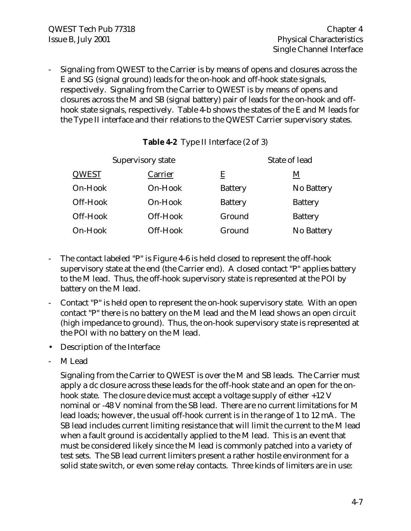- Signaling from QWEST to the Carrier is by means of opens and closures across the E and SG (signal ground) leads for the on-hook and off-hook state signals, respectively. Signaling from the Carrier to QWEST is by means of opens and closures across the M and SB (signal battery) pair of leads for the on-hook and offhook state signals, respectively. Table 4-b shows the states of the E and M leads for the Type II interface and their relations to the QWEST Carrier supervisory states.

| <b>Table 4-2</b> Type II Interface (2 of 3) |  |
|---------------------------------------------|--|
|---------------------------------------------|--|

|          | Supervisory state |                | State of lead  |  |  |
|----------|-------------------|----------------|----------------|--|--|
| QWEST    | Carrier           | Ē              | M              |  |  |
| On-Hook  | On-Hook           | <b>Battery</b> | No Battery     |  |  |
| Off-Hook | On-Hook           | <b>Battery</b> | <b>Battery</b> |  |  |
| Off-Hook | Off-Hook          | Ground         | <b>Battery</b> |  |  |
| On-Hook  | Off-Hook          | Ground         | No Battery     |  |  |

- The contact labeled "P" is Figure 4-6 is held closed to represent the off-hook supervisory state at the end (the Carrier end). A closed contact "P" applies battery to the M lead. Thus, the off-hook supervisory state is represented at the POI by battery on the M lead.
- Contact "P" is held open to represent the on-hook supervisory state. With an open contact "P" there is no battery on the M lead and the M lead shows an open circuit (high impedance to ground). Thus, the on-hook supervisory state is represented at the POI with no battery on the M lead.
- Description of the Interface
- M Lead

Signaling from the Carrier to QWEST is over the M and SB leads. The Carrier must apply a dc closure across these leads for the off-hook state and an open for the onhook state. The closure device must accept a voltage supply of either +12 V nominal or -48 V nominal from the SB lead. There are no current limitations for M lead loads; however, the usual off-hook current is in the range of 1 to 12 mA. The SB lead includes current limiting resistance that will limit the current to the M lead when a fault ground is accidentally applied to the M lead. This is an event that must be considered likely since the M lead is commonly patched into a variety of test sets. The SB lead current limiters present a rather hostile environment for a solid state switch, or even some relay contacts. Three kinds of limiters are in use: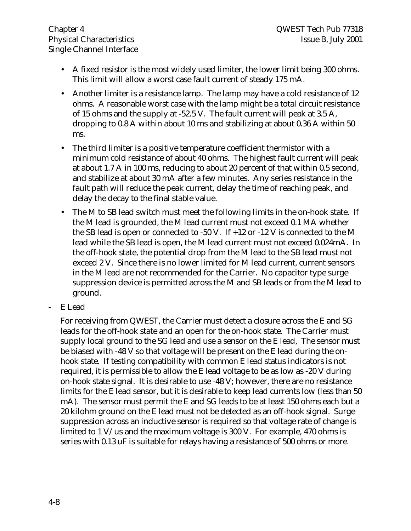- A fixed resistor is the most widely used limiter, the lower limit being 300 ohms. This limit will allow a worst case fault current of steady 175 mA.
- Another limiter is a resistance lamp. The lamp may have a cold resistance of 12 ohms. A reasonable worst case with the lamp might be a total circuit resistance of 15 ohms and the supply at -52.5 V. The fault current will peak at 3.5 A, dropping to 0.8 A within about 10 ms and stabilizing at about 0.36 A within 50 ms.
- The third limiter is a positive temperature coefficient thermistor with a minimum cold resistance of about 40 ohms. The highest fault current will peak at about 1.7 A in 100 ms, reducing to about 20 percent of that within 0.5 second, and stabilize at about 30 mA after a few minutes. Any series resistance in the fault path will reduce the peak current, delay the time of reaching peak, and delay the decay to the final stable value.
- The M to SB lead switch must meet the following limits in the on-hook state. If the M lead is grounded, the M lead current must not exceed 0.1 MA whether the SB lead is open or connected to -50 V. If +12 or -12 V is connected to the M lead while the SB lead is open, the M lead current must not exceed 0.024mA. In the off-hook state, the potential drop from the M lead to the SB lead must not exceed 2 V. Since there is no lower limited for M lead current, current sensors in the M lead are not recommended for the Carrier. No capacitor type surge suppression device is permitted across the M and SB leads or from the M lead to ground.
- E Lead

For receiving from QWEST, the Carrier must detect a closure across the E and SG leads for the off-hook state and an open for the on-hook state. The Carrier must supply local ground to the SG lead and use a sensor on the E lead, The sensor must be biased with -48 V so that voltage will be present on the E lead during the onhook state. If testing compatibility with common E lead status indicators is not required, it is permissible to allow the E lead voltage to be as low as -20 V during on-hook state signal. It is desirable to use -48 V; however, there are no resistance limits for the E lead sensor, but it is desirable to keep lead currents low (less than 50 mA). The sensor must permit the E and SG leads to be at least 150 ohms each but a 20 kilohm ground on the E lead must not be detected as an off-hook signal. Surge suppression across an inductive sensor is required so that voltage rate of change is limited to 1  $V$ /us and the maximum voltage is 300 V. For example, 470 ohms is series with 0.13 uF is suitable for relays having a resistance of 500 ohms or more.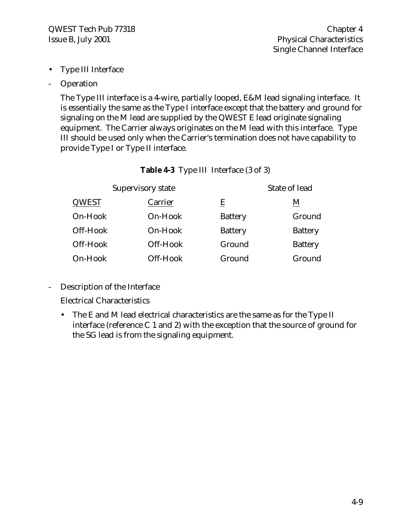- Type III Interface
- **Operation**

The Type III interface is a 4-wire, partially looped, E&M lead signaling interface. It is essentially the same as the Type I interface except that the battery and ground for signaling on the M lead are supplied by the QWEST E lead originate signaling equipment. The Carrier always originates on the M lead with this interface. Type III should be used only when the Carrier's termination does not have capability to provide Type I or Type II interface.

|  |  | Table 4-3 Type III Interface (3 of 3) |  |
|--|--|---------------------------------------|--|
|--|--|---------------------------------------|--|

|          | Supervisory state | State of lead  |                |  |
|----------|-------------------|----------------|----------------|--|
| QWEST    | Carrier           | E              | M              |  |
| On-Hook  | On-Hook           | <b>Battery</b> | Ground         |  |
| Off-Hook | On-Hook           | <b>Battery</b> | <b>Battery</b> |  |
| Off-Hook | Off-Hook          | Ground         | <b>Battery</b> |  |
| On-Hook  | Off-Hook          | Ground         | Ground         |  |

- Description of the Interface

Electrical Characteristics

• The E and M lead electrical characteristics are the same as for the Type II interface (reference C 1 and 2) with the exception that the source of ground for the SG lead is from the signaling equipment.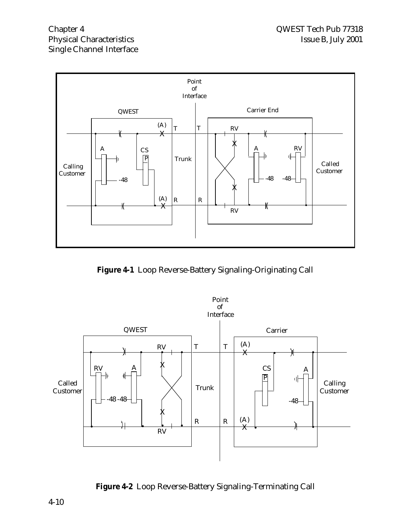

**Figure 4-1** Loop Reverse-Battery Signaling-Originating Call



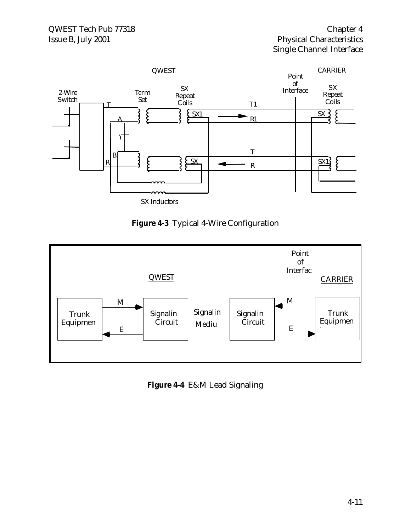

### **Figure 4-3** Typical 4-Wire Configuration



**Figure 4-4** E&M Lead Signaling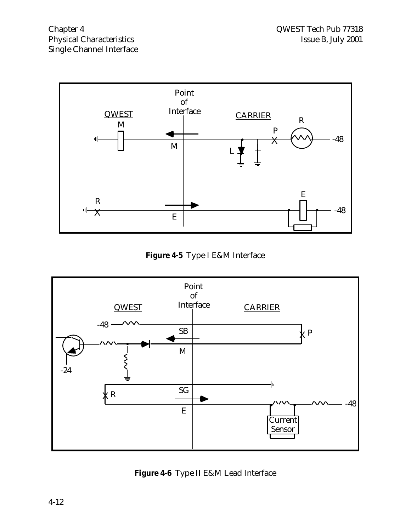

**Figure 4-5** Type I E&M Interface



**Figure 4-6** Type II E&M Lead Interface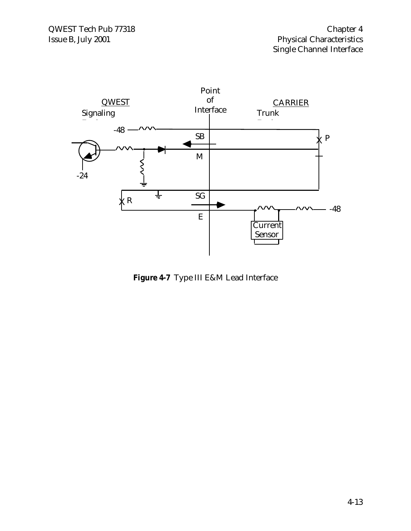

**Figure 4-7** Type III E&M Lead Interface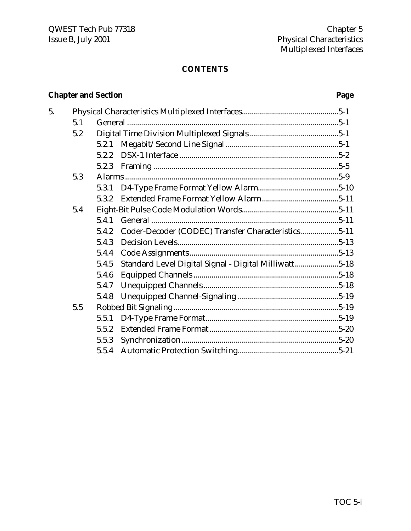#### **CONTENTS**

# **Chapter and Section Page**

| 5. |     |       |                                                       |  |
|----|-----|-------|-------------------------------------------------------|--|
|    | 5.1 |       |                                                       |  |
|    | 5.2 |       |                                                       |  |
|    |     | 5.2.1 |                                                       |  |
|    |     | 5.2.2 |                                                       |  |
|    |     | 5.2.3 |                                                       |  |
|    | 5.3 |       |                                                       |  |
|    |     | 5.3.1 |                                                       |  |
|    |     | 5.3.2 |                                                       |  |
|    | 5.4 |       |                                                       |  |
|    |     | 5.4.1 |                                                       |  |
|    |     | 5.4.2 | Coder-Decoder (CODEC) Transfer Characteristics5-11    |  |
|    |     | 5.4.3 |                                                       |  |
|    |     | 5.4.4 |                                                       |  |
|    |     | 5.4.5 | Standard Level Digital Signal - Digital Milliwatt5-18 |  |
|    |     | 5.4.6 |                                                       |  |
|    |     | 5.4.7 |                                                       |  |
|    |     | 5.4.8 |                                                       |  |
|    | 5.5 |       |                                                       |  |
|    |     | 5.5.1 |                                                       |  |
|    |     | 5.5.2 |                                                       |  |
|    |     | 5.5.3 |                                                       |  |
|    |     | 5.5.4 |                                                       |  |
|    |     |       |                                                       |  |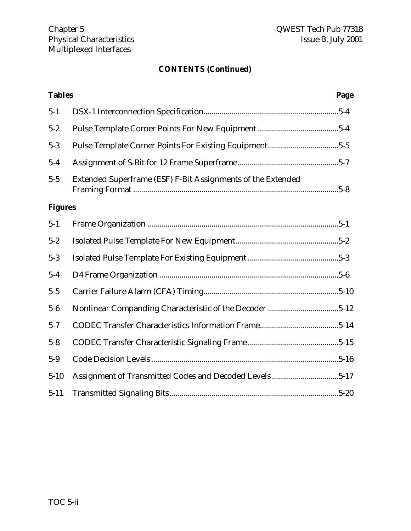# **CONTENTS (Continued)**

| <b>Tables</b>  |                                                             | Page |
|----------------|-------------------------------------------------------------|------|
| $5 - 1$        |                                                             |      |
| $5 - 2$        |                                                             |      |
| $5 - 3$        |                                                             |      |
| $5 - 4$        |                                                             |      |
| $5 - 5$        | Extended Superframe (ESF) F-Bit Assignments of the Extended |      |
| <b>Figures</b> |                                                             |      |
| $5 - 1$        |                                                             |      |
| $5 - 2$        |                                                             |      |
| $5 - 3$        |                                                             |      |
| $5 - 4$        |                                                             |      |
| $5 - 5$        |                                                             |      |
| $5-6$          |                                                             |      |
| $5 - 7$        |                                                             |      |
| $5 - 8$        |                                                             |      |
| $5-9$          |                                                             |      |
| $5 - 10$       | Assignment of Transmitted Codes and Decoded Levels5-17      |      |
| $5 - 11$       |                                                             |      |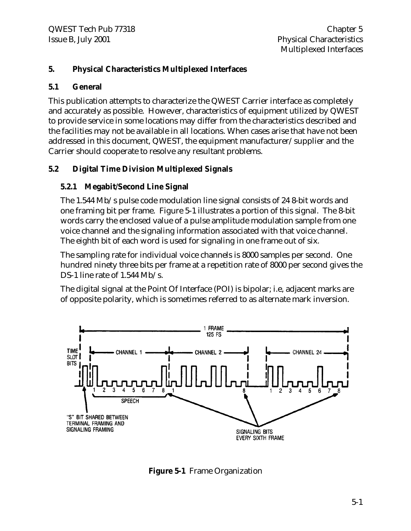#### **5. Physical Characteristics Multiplexed Interfaces**

#### **5.1 General**

This publication attempts to characterize the QWEST Carrier interface as completely and accurately as possible. However, characteristics of equipment utilized by QWEST to provide service in some locations may differ from the characteristics described and the facilities may not be available in all locations. When cases arise that have not been addressed in this document, QWEST, the equipment manufacturer/supplier and the Carrier should cooperate to resolve any resultant problems.

#### **5.2 Digital Time Division Multiplexed Signals**

#### **5.2.1 Megabit/Second Line Signal**

The 1.544 Mb/s pulse code modulation line signal consists of 24 8-bit words and one framing bit per frame. Figure 5-1 illustrates a portion of this signal. The 8-bit words carry the enclosed value of a pulse amplitude modulation sample from one voice channel and the signaling information associated with that voice channel. The eighth bit of each word is used for signaling in one frame out of six.

The sampling rate for individual voice channels is 8000 samples per second. One hundred ninety three bits per frame at a repetition rate of 8000 per second gives the DS-1 line rate of 1.544 Mb/s.

The digital signal at the Point Of Interface (POI) is bipolar; i.e, adjacent marks are of opposite polarity, which is sometimes referred to as alternate mark inversion.



**Figure 5-1** Frame Organization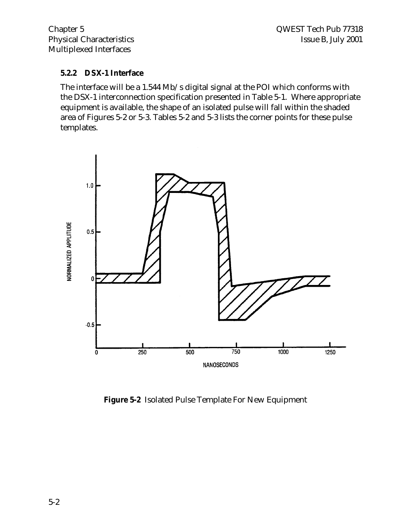#### **5.2.2 DSX-1 Interface**

The interface will be a 1.544 Mb/s digital signal at the POI which conforms with the DSX-1 interconnection specification presented in Table 5-1. Where appropriate equipment is available, the shape of an isolated pulse will fall within the shaded area of Figures 5-2 or 5-3. Tables 5-2 and 5-3 lists the corner points for these pulse templates.



**Figure 5-2** Isolated Pulse Template For New Equipment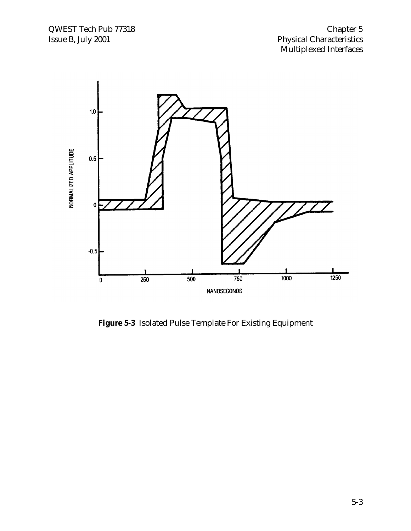

**Figure 5-3** Isolated Pulse Template For Existing Equipment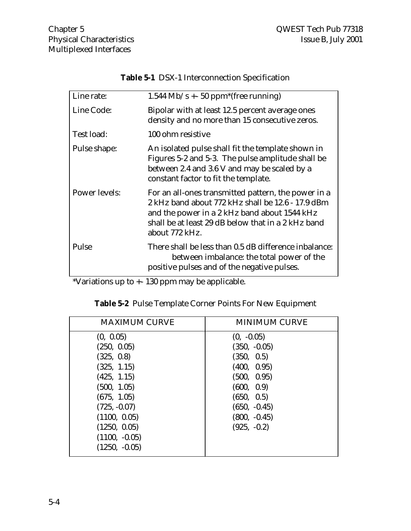| Line rate:           | $1.544$ Mb/s $+$ 50 ppm <sup>*</sup> (free running)                                                                                                                                                                              |
|----------------------|----------------------------------------------------------------------------------------------------------------------------------------------------------------------------------------------------------------------------------|
| Line Code:           | Bipolar with at least 12.5 percent average ones<br>density and no more than 15 consecutive zeros.                                                                                                                                |
| Test load:           | 100 ohm resistive                                                                                                                                                                                                                |
| Pulse shape:         | An isolated pulse shall fit the template shown in<br>Figures 5-2 and 5-3. The pulse amplitude shall be<br>between 2.4 and 3.6 V and may be scaled by a<br>constant factor to fit the template.                                   |
| <b>Power levels:</b> | For an all-ones transmitted pattern, the power in a<br>2 kHz band about 772 kHz shall be 12.6 - 17.9 dBm<br>and the power in a 2 kHz band about 1544 kHz<br>shall be at least 29 dB below that in a 2 kHz band<br>about 772 kHz. |
| Pulse                | There shall be less than 0.5 dB difference inbalance:<br>between imbalance: the total power of the<br>positive pulses and of the negative pulses.                                                                                |

**Table 5-1** DSX-1 Interconnection Specification

\*Variations up to +- 130 ppm may be applicable.

| <b>MAXIMUM CURVE</b> | <b>MINIMUM CURVE</b> |
|----------------------|----------------------|
| (0, 0.05)            | $(0, -0.05)$         |
| (250, 0.05)          | $(350, -0.05)$       |
| (325, 0.8)           | (350, 0.5)           |
| (325, 1.15)          | (400, 0.95)          |
| (425, 1.15)          | (500, 0.95)          |
| (500, 1.05)          | (600, 0.9)           |
| (675, 1.05)          | (650, 0.5)           |
| $(725, -0.07)$       | $(650, -0.45)$       |
| (1100, 0.05)         | $(800, -0.45)$       |
| (1250, 0.05)         | $(925, -0.2)$        |
| $(1100, -0.05)$      |                      |
| $(1250, -0.05)$      |                      |

|  |  |  | Table 5-2 Pulse Template Corner Points For New Equipment |
|--|--|--|----------------------------------------------------------|
|  |  |  |                                                          |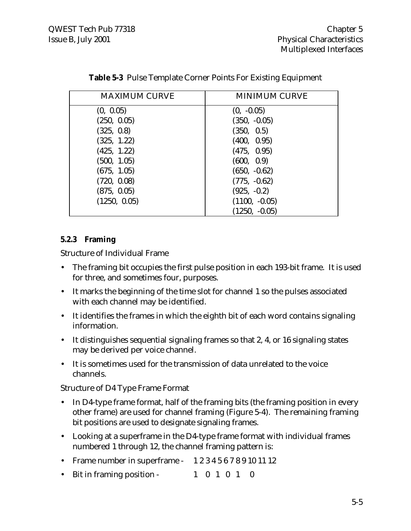| <b>MAXIMUM CURVE</b> | <b>MINIMUM CURVE</b> |
|----------------------|----------------------|
| (0, 0.05)            | $(0, -0.05)$         |
| (250, 0.05)          | $(350, -0.05)$       |
| (325, 0.8)           | (350, 0.5)           |
| (325, 1.22)          | (400, 0.95)          |
| (425, 1.22)          | (475, 0.95)          |
| (500, 1.05)          | (600, 0.9)           |
| (675, 1.05)          | $(650, -0.62)$       |
| (720, 0.08)          | $(775, -0.62)$       |
| (875, 0.05)          | $(925, -0.2)$        |
| (1250, 0.05)         | $(1100, -0.05)$      |
|                      | $(1250, -0.05)$      |

**Table 5-3** Pulse Template Corner Points For Existing Equipment

#### **5.2.3 Framing**

Structure of Individual Frame

- The framing bit occupies the first pulse position in each 193-bit frame. It is used for three, and sometimes four, purposes.
- It marks the beginning of the time slot for channel 1 so the pulses associated with each channel may be identified.
- It identifies the frames in which the eighth bit of each word contains signaling information.
- It distinguishes sequential signaling frames so that 2, 4, or 16 signaling states may be derived per voice channel.
- It is sometimes used for the transmission of data unrelated to the voice channels.

Structure of D4 Type Frame Format

- In D4-type frame format, half of the framing bits (the framing position in every other frame) are used for channel framing (Figure 5-4). The remaining framing bit positions are used to designate signaling frames.
- Looking at a superframe in the D4-type frame format with individual frames numbered 1 through 12, the channel framing pattern is:
- Frame number in superframe 1 2 3 4 5 6 7 8 9 10 11 12
- Bit in framing position 1 0 1 0 1 0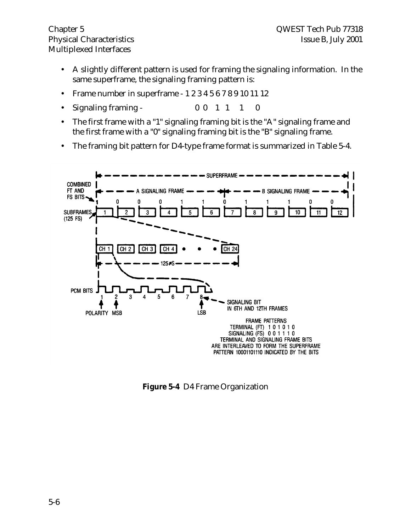Multiplexed Interfaces

- A slightly different pattern is used for framing the signaling information. In the same superframe, the signaling framing pattern is:
- Frame number in superframe 1 2 3 4 5 6 7 8 9 10 11 12
- ${\rm Signaling\; framing}$  0 0 1 1 1 0
- The first frame with a "1" signaling framing bit is the "A" signaling frame and the first frame with a "0" signaling framing bit is the "B" signaling frame.
- The framing bit pattern for D4-type frame format is summarized in Table 5-4.



**Figure 5-4** D4 Frame Organization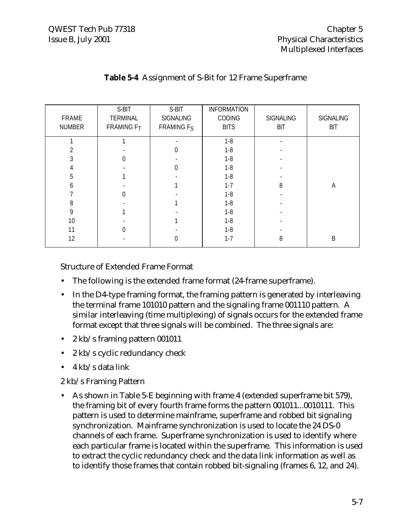| FRAME<br>NUMBER | S-BIT<br><b>TERMINAL</b><br>FRAMING F <sub>T</sub> | S-BIT<br><b>SIGNALING</b><br>FRAMING F <sub>S</sub> | <b>INFORMATION</b><br>CODING<br><b>BITS</b> | <b>SIGNALING</b><br><b>BIT</b> | <b>SIGNALING</b><br><b>BIT</b> |
|-----------------|----------------------------------------------------|-----------------------------------------------------|---------------------------------------------|--------------------------------|--------------------------------|
|                 |                                                    |                                                     | $1 - 8$                                     |                                |                                |
| 2               |                                                    | 0                                                   | $1 - 8$                                     |                                |                                |
| 3               | $\Omega$                                           |                                                     | $1 - 8$                                     |                                |                                |
| 4               |                                                    | $\Omega$                                            | $1 - 8$                                     |                                |                                |
| 5               |                                                    |                                                     | $1 - 8$                                     |                                |                                |
| 6               |                                                    |                                                     | $1 - 7$                                     | 8                              | Α                              |
|                 |                                                    |                                                     | $1 - 8$                                     |                                |                                |
| 8               |                                                    |                                                     | $1 - 8$                                     |                                |                                |
| 9               |                                                    |                                                     | $1 - 8$                                     |                                |                                |
| 10              |                                                    |                                                     | $1 - 8$                                     |                                |                                |
| 11              |                                                    |                                                     | $1 - 8$                                     |                                |                                |
| 12              |                                                    | 0                                                   | $1 - 7$                                     | 8                              | B                              |

#### **Table 5-4** Assignment of S-Bit for 12 Frame Superframe

Structure of Extended Frame Format

- The following is the extended frame format (24-frame superframe).
- In the D4-type framing format, the framing pattern is generated by interleaving the terminal frame 101010 pattern and the signaling frame 001110 pattern. A similar interleaving (time multiplexing) of signals occurs for the extended frame format except that three signals will be combined. The three signals are:
- 2 kb/s framing pattern 001011
- 2 kb/s cyclic redundancy check
- 4 kb/s data link

#### 2 kb/s Framing Pattern

• As shown in Table 5-E beginning with frame 4 (extended superframe bit 579), the framing bit of every fourth frame forms the pattern 001011...0010111. This pattern is used to determine mainframe, superframe and robbed bit signaling synchronization. Mainframe synchronization is used to locate the 24 DS-0 channels of each frame. Superframe synchronization is used to identify where each particular frame is located within the superframe. This information is used to extract the cyclic redundancy check and the data link information as well as to identify those frames that contain robbed bit-signaling (frames 6, 12, and 24).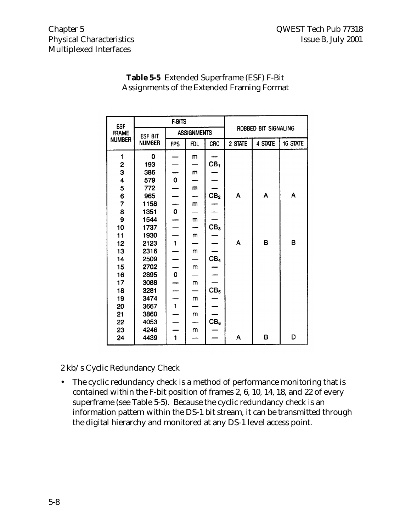| <b>ESF</b><br><b>FRAME</b><br><b>NUMBER</b> | <b>F-BITS</b>            |                    |              |                 |                      |         |          |
|---------------------------------------------|--------------------------|--------------------|--------------|-----------------|----------------------|---------|----------|
|                                             | ESF BIT<br><b>NUMBER</b> | <b>ASSIGNMENTS</b> |              |                 | ROBBED BIT SIGNALING |         |          |
|                                             |                          | <b>FPS</b>         | <b>FDL</b>   | <b>CRC</b>      | 2 STATE              | 4 STATE | 16 STATE |
| 1                                           | 0                        |                    | m            |                 |                      |         |          |
| $\overline{\mathbf{c}}$                     | 193                      |                    |              | CB <sub>1</sub> |                      |         |          |
| 3                                           | 386                      |                    | m            |                 |                      |         |          |
| 4                                           | 579                      | $\frac{1}{\alpha}$ |              |                 |                      |         |          |
| 5                                           | 772                      |                    | m            |                 |                      |         |          |
| $\frac{6}{7}$                               | 965                      |                    |              | CB <sub>2</sub> | A                    | A       | A        |
|                                             | 1158                     |                    | $\mathsf{m}$ |                 |                      |         |          |
| 8                                           | 1351                     | $\mathbf 0$        |              |                 |                      |         |          |
| 9                                           | 1544                     |                    | m            |                 |                      |         |          |
| 10                                          | 1737                     |                    |              | CB <sub>3</sub> |                      |         |          |
| 11                                          | 1930                     |                    | m            |                 |                      |         |          |
| 12                                          | 2123                     | $\overline{1}$     |              |                 | A                    | в       | в        |
| 13                                          | 2316                     |                    | m            |                 |                      |         |          |
| 14                                          | 2509                     |                    |              | CB <sub>4</sub> |                      |         |          |
| 15                                          | 2702                     |                    | m            |                 |                      |         |          |
| 16                                          | 2895                     | $\mathbf{o}$       |              |                 |                      |         |          |
| 17                                          | 3088                     |                    | m            |                 |                      |         |          |
| 18                                          | 3281                     |                    |              | CB <sub>5</sub> |                      |         |          |
| 19                                          | 3474                     |                    | m            |                 |                      |         |          |
| 20                                          | 3667                     | $\mathbf{1}$       |              |                 |                      |         |          |
| 21                                          | 3860                     |                    | m            |                 |                      |         |          |
| 22                                          | 4053                     |                    |              | CB <sub>6</sub> |                      |         |          |
| 23                                          | 4246                     |                    | m            |                 |                      |         |          |
| 24                                          | 4439                     | 1                  |              |                 | A                    | B       | D        |

#### **Table 5-5** Extended Superframe (ESF) F-Bit Assignments of the Extended Framing Format

2 kb/s Cyclic Redundancy Check

• The cyclic redundancy check is a method of performance monitoring that is contained within the F-bit position of frames 2, 6, 10, 14, 18, and 22 of every superframe (see Table 5-5). Because the cyclic redundancy check is an information pattern within the DS-1 bit stream, it can be transmitted through the digital hierarchy and monitored at any DS-1 level access point.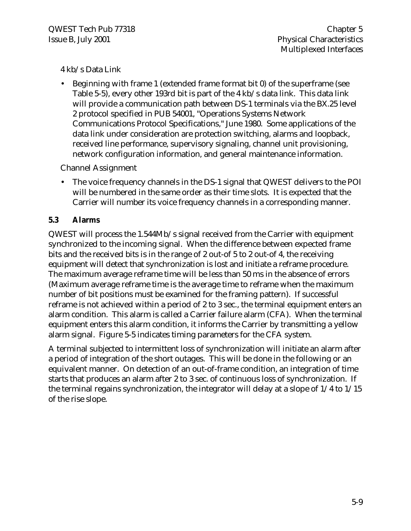#### 4 kb/s Data Link

• Beginning with frame 1 (extended frame format bit 0) of the superframe (see Table 5-5), every other 193rd bit is part of the 4 kb/s data link. This data link will provide a communication path between DS-1 terminals via the BX.25 level 2 protocol specified in PUB 54001, "Operations Systems Network Communications Protocol Specifications," June 1980. Some applications of the data link under consideration are protection switching, alarms and loopback, received line performance, supervisory signaling, channel unit provisioning, network configuration information, and general maintenance information.

Channel Assignment

• The voice frequency channels in the DS-1 signal that QWEST delivers to the POI will be numbered in the same order as their time slots. It is expected that the Carrier will number its voice frequency channels in a corresponding manner.

#### **5.3 Alarms**

QWEST will process the 1.544Mb/s signal received from the Carrier with equipment synchronized to the incoming signal. When the difference between expected frame bits and the received bits is in the range of 2 out-of 5 to 2 out-of 4, the receiving equipment will detect that synchronization is lost and initiate a reframe procedure. The maximum average reframe time will be less than 50 ms in the absence of errors (Maximum average reframe time is the average time to reframe when the maximum number of bit positions must be examined for the framing pattern). If successful reframe is not achieved within a period of 2 to 3 sec., the terminal equipment enters an alarm condition. This alarm is called a Carrier failure alarm (CFA). When the terminal equipment enters this alarm condition, it informs the Carrier by transmitting a yellow alarm signal. Figure 5-5 indicates timing parameters for the CFA system.

A terminal subjected to intermittent loss of synchronization will initiate an alarm after a period of integration of the short outages. This will be done in the following or an equivalent manner. On detection of an out-of-frame condition, an integration of time starts that produces an alarm after 2 to 3 sec. of continuous loss of synchronization. If the terminal regains synchronization, the integrator will delay at a slope of 1/4 to 1/15 of the rise slope.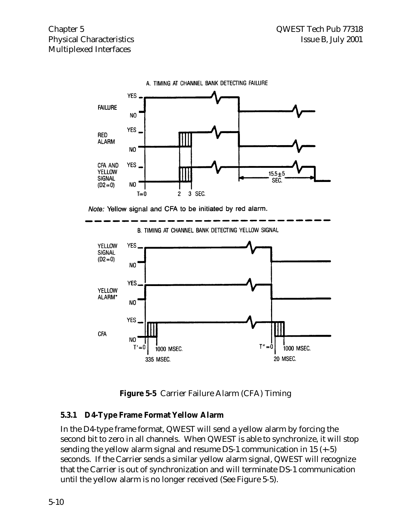# Multiplexed Interfaces



A. TIMING AT CHANNEL BANK DETECTING FAILURE

Note: Yellow signal and CFA to be initiated by red alarm.



B. TIMING AT CHANNEL BANK DETECTING YELLOW SIGNAL

**Figure 5-5** Carrier Failure Alarm (CFA) Timing

#### **5.3.1 D4-Type Frame Format Yellow Alarm**

In the D4-type frame format, QWEST will send a yellow alarm by forcing the second bit to zero in all channels. When QWEST is able to synchronize, it will stop sending the yellow alarm signal and resume DS-1 communication in 15 (+-5) seconds. If the Carrier sends a similar yellow alarm signal, QWEST will recognize that the Carrier is out of synchronization and will terminate DS-1 communication until the yellow alarm is no longer received (See Figure 5-5).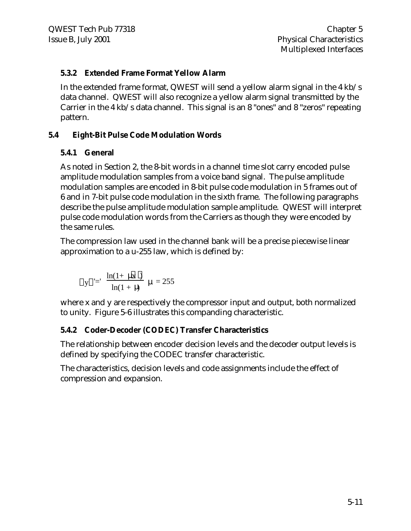#### **5.3.2 Extended Frame Format Yellow Alarm**

In the extended frame format, QWEST will send a yellow alarm signal in the 4 kb/s data channel. QWEST will also recognize a yellow alarm signal transmitted by the Carrier in the 4 kb/s data channel. This signal is an 8 "ones" and 8 "zeros" repeating pattern.

#### **5.4 Eight-Bit Pulse Code Modulation Words**

#### **5.4.1 General**

As noted in Section 2, the 8-bit words in a channel time slot carry encoded pulse amplitude modulation samples from a voice band signal. The pulse amplitude modulation samples are encoded in 8-bit pulse code modulation in 5 frames out of 6 and in 7-bit pulse code modulation in the sixth frame. The following paragraphs describe the pulse amplitude modulation sample amplitude. QWEST will interpret pulse code modulation words from the Carriers as though they were encoded by the same rules.

The compression law used in the channel bank will be a precise piecewise linear approximation to a u-255 law, which is defined by:

$$
|y| = \frac{\ln(1 + \mu \cancel{x})}{\ln(1 + \mu)} \mu = 255
$$

where x and y are respectively the compressor input and output, both normalized to unity. Figure 5-6 illustrates this companding characteristic.

#### **5.4.2 Coder-Decoder (CODEC) Transfer Characteristics**

The relationship between encoder decision levels and the decoder output levels is defined by specifying the CODEC transfer characteristic.

The characteristics, decision levels and code assignments include the effect of compression and expansion.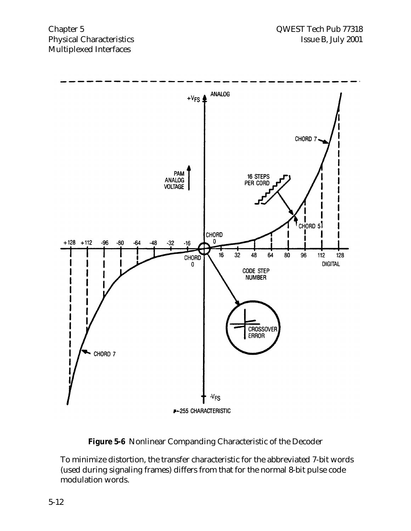

**Figure 5-6** Nonlinear Companding Characteristic of the Decoder

To minimize distortion, the transfer characteristic for the abbreviated 7-bit words (used during signaling frames) differs from that for the normal 8-bit pulse code modulation words.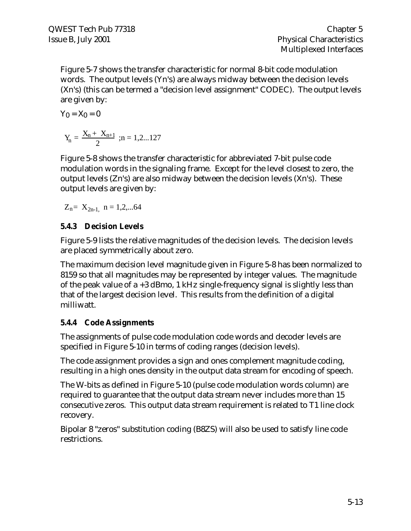Figure 5-7 shows the transfer characteristic for normal 8-bit code modulation words. The output levels (Yn's) are always midway between the decision levels (Xn's) (this can be termed a "decision level assignment" CODEC). The output levels are given by:

$$
Y_0 = X_0 = 0
$$
  

$$
Y_n = \frac{X_n + X_{n+1}}{2} \text{ ; } n = 1, 2...127
$$

Figure 5-8 shows the transfer characteristic for abbreviated 7-bit pulse code modulation words in the signaling frame. Except for the level closest to zero, the output levels (Zn's) are also midway between the decision levels (Xn's). These output levels are given by:

$$
Z_n = X_{2n-1, n = 1, 2, \dots, 64}
$$

# **5.4.3 Decision Levels**

Figure 5-9 lists the relative magnitudes of the decision levels. The decision levels are placed symmetrically about zero.

The maximum decision level magnitude given in Figure 5-8 has been normalized to 8159 so that all magnitudes may be represented by integer values. The magnitude of the peak value of a +3 dBmo, 1 kHz single-frequency signal is slightly less than that of the largest decision level. This results from the definition of a digital milliwatt.

# **5.4.4 Code Assignments**

The assignments of pulse code modulation code words and decoder levels are specified in Figure 5-10 in terms of coding ranges (decision levels).

The code assignment provides a sign and ones complement magnitude coding, resulting in a high ones density in the output data stream for encoding of speech.

The W-bits as defined in Figure 5-10 (pulse code modulation words column) are required to guarantee that the output data stream never includes more than 15 consecutive zeros. This output data stream requirement is related to T1 line clock recovery.

Bipolar 8 "zeros" substitution coding (B8ZS) will also be used to satisfy line code restrictions.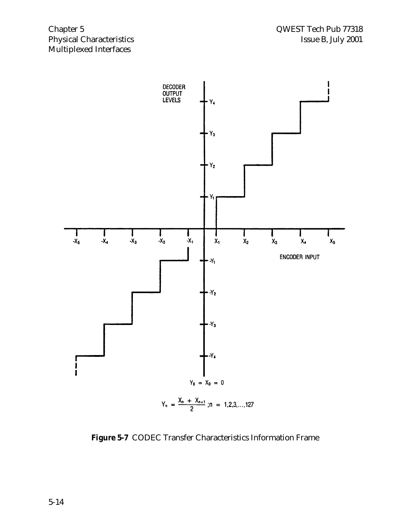

**Figure 5-7** CODEC Transfer Characteristics Information Frame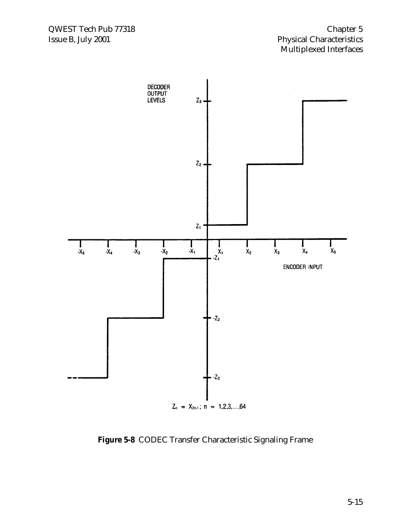

**Figure 5-8** CODEC Transfer Characteristic Signaling Frame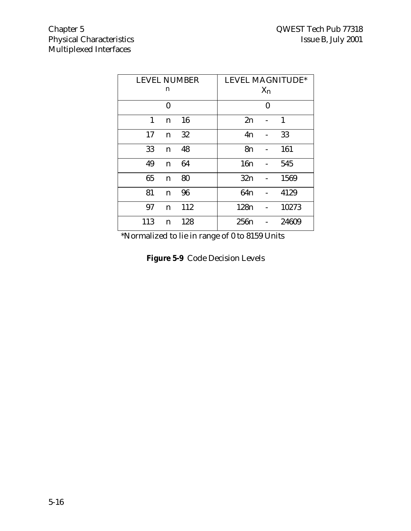| <b>LEVEL NUMBER</b><br>n | <b>LEVEL MAGNITUDE*</b><br>$X_n$ |
|--------------------------|----------------------------------|
| $\bf{0}$                 | 0                                |
| 1<br>16<br>n             | 1<br>2n                          |
| 32<br>17<br>$\mathbf n$  | 33<br>4n                         |
| 33<br>48<br>$\mathbf n$  | 161<br>8n                        |
| 49<br>64<br>n            | 16n<br>545                       |
| 65<br>80<br>$\mathbf n$  | 1569<br>32n                      |
| 81<br>96<br>$\mathbf n$  | 64n<br>4129                      |
| 112<br>97<br>n           | 10273<br>128 <sub>n</sub>        |
| 113<br>128<br>n          | 256n<br>24609                    |

\*Normalized to lie in range of 0 to 8159 Units

|  | Figure 5-9 Code Decision Levels |  |
|--|---------------------------------|--|
|--|---------------------------------|--|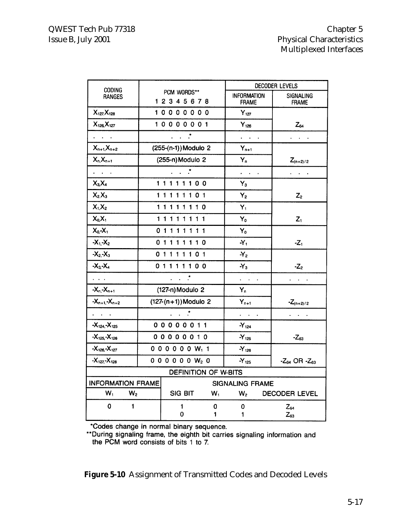|                                             |                         |                                                             | DECODER LEVELS      |                                                           |                                                  |  |
|---------------------------------------------|-------------------------|-------------------------------------------------------------|---------------------|-----------------------------------------------------------|--------------------------------------------------|--|
| <b>CODING</b><br>RANGES                     | PCM WORDS**<br>12345678 |                                                             |                     | <b>INFORMATION</b><br><b>FRAME</b>                        | <b>SIGNALING</b><br><b>FRAME</b>                 |  |
| $X_{127}X_{128}$                            |                         | 10000000                                                    |                     | $Y_{127}$                                                 |                                                  |  |
| $X_{126}X_{127}$                            |                         | 10000001                                                    |                     | $Y_{126}$                                                 | $Z_{64}$                                         |  |
| $\mathcal{L}^{\text{max}}$                  |                         | $\mathcal{L} \times \mathcal{L}$                            |                     | $\mathcal{L}^{\text{max}}$ and $\mathcal{L}^{\text{max}}$ | $\mathcal{L}^{\text{max}}$                       |  |
| $X_{n+1}X_{n+2}$                            |                         | (255-(n-1)) Modulo 2                                        |                     | $Y_{n+1}$                                                 |                                                  |  |
| $X_n, X_{n+1}$                              |                         | (255-n) Modulo 2                                            |                     | $Y_n$                                                     | $Z_{(n+2)/2}$                                    |  |
| $\mathcal{L}^{\text{max}}$                  |                         | $\mathcal{L}^{\mathcal{A}}$ and $\mathcal{R}^{\mathcal{B}}$ |                     | $\epsilon = 1/2$                                          | $\mathcal{L}^{\pm}$ , $\mathcal{L}^{\pm}$ ,      |  |
| $X_3X_4$                                    |                         | 11111100                                                    |                     | $Y_3$                                                     |                                                  |  |
| $X_2.X_3$                                   |                         | 11111101                                                    |                     | $Y_2$                                                     | $Z_{2}$                                          |  |
| $X_1X_2$                                    |                         | 11111110                                                    |                     | $Y_1$                                                     |                                                  |  |
| $X_0X_1$                                    |                         | 11111111                                                    |                     | $Y_0$                                                     | $Z_1$                                            |  |
| $X_0 - X_1$                                 |                         | 01111111                                                    |                     | $Y_{0}$                                                   |                                                  |  |
| $-X_1-X_2$                                  |                         | 01111110                                                    |                     | $Y_{1}$                                                   | $-Z1$                                            |  |
| $-X2-X3$                                    |                         | 01111101                                                    |                     | $-Y2$                                                     |                                                  |  |
| $-X_3-X_4$                                  |                         | 01111100                                                    |                     | $-Y_3$                                                    | $-Z2$                                            |  |
| $\mathbf{1}$                                |                         | $\overline{\cdots}$                                         |                     | $\mathcal{L}^{\pm}$ , $\mathcal{L}^{\pm}$ , $\mathcal{L}$ | $\overline{1}$ , $\overline{1}$ , $\overline{1}$ |  |
| $-X_{n} - X_{n+1}$                          |                         | (127-n) Modulo 2                                            |                     | $Y_n$                                                     |                                                  |  |
| $-X_{n+1}$ - $X_{n+2}$                      |                         | $(127-(n+1))$ Modulo 2                                      |                     | $Y_{n+1}$                                                 | $-Z_{(n+2)/2}$                                   |  |
| $\mathcal{L}^{\text{max}}$                  |                         | $\mathcal{L} \times \mathcal{F}$                            |                     | $\overline{z}$ , $\overline{z}$ , $\overline{z}$          | $\mathbb{R}^2$ and $\mathbb{R}^2$                |  |
| $-X_{124} - X_{125}$                        |                         | 00000011                                                    |                     | $-Y_{124}$                                                |                                                  |  |
| $-X_{125} - X_{126}$                        |                         | 00000010                                                    |                     | $-Y_{125}$                                                | $-Z_{63}$                                        |  |
| $-X_{126} - X_{127}$                        |                         | $000000W_1$ 1                                               |                     | $-Y_{126}$                                                |                                                  |  |
| $-X_{127} - X_{128}$                        |                         |                                                             | $0 0 0 0 0 0 W_2 0$ |                                                           | $-Z_{64}$ OR $-Z_{63}$                           |  |
|                                             |                         | <b>DEFINITION OF W-BITS</b>                                 |                     |                                                           |                                                  |  |
| <b>INFORMATION FRAME</b><br>SIGNALING FRAME |                         |                                                             |                     |                                                           |                                                  |  |
| $W_1$ $W_2$                                 |                         |                                                             |                     | SIG BIT $W_1$ $W_2$ DECODER LEVEL                         |                                                  |  |
| $\mathbf{0}$<br>$\mathbf{1}$                |                         | $\blacksquare$                                              | $\mathbf{0}$        | $\mathbf{0}$                                              | $Z_{64}$                                         |  |
|                                             |                         | 0                                                           | $\mathbf{1}$        | 1.                                                        | $Z_{63}$                                         |  |

\*Codes change in normal binary sequence.<br>\*\*During signaling frame, the eighth bit carries signaling information and the PCM word consists of bits 1 to 7.

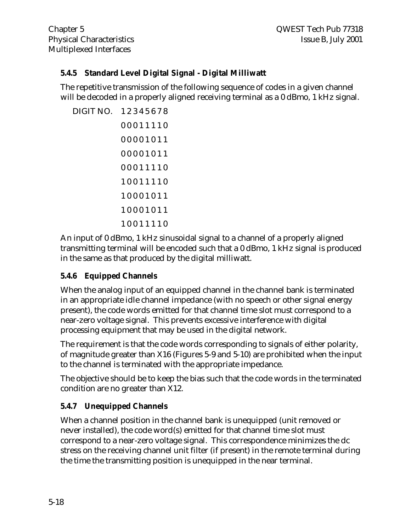#### **5.4.5 Standard Level Digital Signal - Digital Milliwatt**

The repetitive transmission of the following sequence of codes in a given channel will be decoded in a properly aligned receiving terminal as a 0 dBmo, 1 kHz signal.

```
DIGIT NO. 1 2 3 4 5 6 7 8
   0 0 0 1 1 1 1 0
  0 0 0 0 1 0 1 1
   0 0 0 0 1 0 1 1
   0 0 0 1 1 1 1 0
   1 0 0 1 1 1 1 0
   1 0 0 0 1 0 1 1
   1 0 0 0 1 0 1 1
   1 0 0 1 1 1 1 0
```
An input of 0 dBmo, 1 kHz sinusoidal signal to a channel of a properly aligned transmitting terminal will be encoded such that a 0 dBmo, 1 kHz signal is produced in the same as that produced by the digital milliwatt.

# **5.4.6 Equipped Channels**

When the analog input of an equipped channel in the channel bank is terminated in an appropriate idle channel impedance (with no speech or other signal energy present), the code words emitted for that channel time slot must correspond to a near-zero voltage signal. This prevents excessive interference with digital processing equipment that may be used in the digital network.

The requirement is that the code words corresponding to signals of either polarity, of magnitude greater than X16 (Figures 5-9 and 5-10) are prohibited when the input to the channel is terminated with the appropriate impedance.

The objective should be to keep the bias such that the code words in the terminated condition are no greater than X12.

# **5.4.7 Unequipped Channels**

When a channel position in the channel bank is unequipped (unit removed or never installed), the code word(s) emitted for that channel time slot must correspond to a near-zero voltage signal. This correspondence minimizes the dc stress on the receiving channel unit filter (if present) in the remote terminal during the time the transmitting position is unequipped in the near terminal.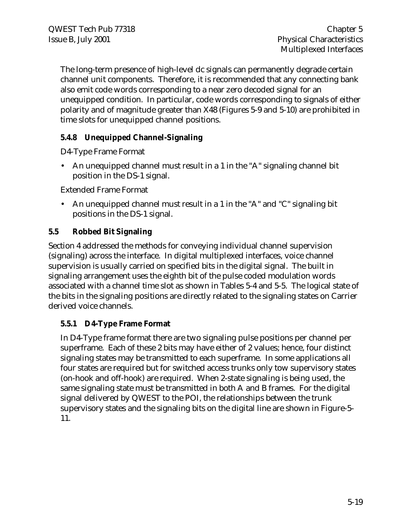The long-term presence of high-level dc signals can permanently degrade certain channel unit components. Therefore, it is recommended that any connecting bank also emit code words corresponding to a near zero decoded signal for an unequipped condition. In particular, code words corresponding to signals of either polarity and of magnitude greater than X48 (Figures 5-9 and 5-10) are prohibited in time slots for unequipped channel positions.

#### **5.4.8 Unequipped Channel-Signaling**

D4-Type Frame Format

• An unequipped channel must result in a 1 in the "A" signaling channel bit position in the DS-1 signal.

Extended Frame Format

• An unequipped channel must result in a 1 in the "A" and "C" signaling bit positions in the DS-1 signal.

#### **5.5 Robbed Bit Signaling**

Section 4 addressed the methods for conveying individual channel supervision (signaling) across the interface. In digital multiplexed interfaces, voice channel supervision is usually carried on specified bits in the digital signal. The built in signaling arrangement uses the eighth bit of the pulse coded modulation words associated with a channel time slot as shown in Tables 5-4 and 5-5. The logical state of the bits in the signaling positions are directly related to the signaling states on Carrier derived voice channels.

#### **5.5.1 D4-Type Frame Format**

In D4-Type frame format there are two signaling pulse positions per channel per superframe. Each of these 2 bits may have either of 2 values; hence, four distinct signaling states may be transmitted to each superframe. In some applications all four states are required but for switched access trunks only tow supervisory states (on-hook and off-hook) are required. When 2-state signaling is being used, the same signaling state must be transmitted in both A and B frames. For the digital signal delivered by QWEST to the POI, the relationships between the trunk supervisory states and the signaling bits on the digital line are shown in Figure-5- 11.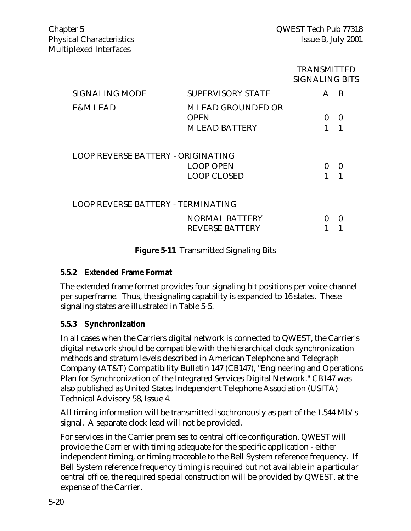#### TRANSMITTED SIGNALING BITS

| <b>SIGNALING MODE</b>                     | <b>SUPERVISORY STATE</b>                                        |   | B |
|-------------------------------------------|-----------------------------------------------------------------|---|---|
| E&M LEAD                                  | <b>MLEAD GROUNDED OR</b><br><b>OPEN</b><br><b>MLEAD BATTERY</b> | 0 | 0 |
| <b>LOOP REVERSE BATTERY - ORIGINATING</b> |                                                                 |   | 0 |
|                                           | <b>LOOP OPEN</b><br><b>LOOP CLOSED</b>                          | 0 |   |
| <b>LOOP REVERSE BATTERY - TERMINATING</b> |                                                                 |   |   |
|                                           | <b>NORMAL BATTERY</b><br><b>REVERSE BATTERY</b>                 | 0 | 0 |
|                                           |                                                                 |   |   |

#### **Figure 5-11** Transmitted Signaling Bits

#### **5.5.2 Extended Frame Format**

The extended frame format provides four signaling bit positions per voice channel per superframe. Thus, the signaling capability is expanded to 16 states. These signaling states are illustrated in Table 5-5.

#### **5.5.3 Synchronization**

In all cases when the Carriers digital network is connected to QWEST, the Carrier's digital network should be compatible with the hierarchical clock synchronization methods and stratum levels described in American Telephone and Telegraph Company (AT&T) Compatibility Bulletin 147 (CB147), "Engineering and Operations Plan for Synchronization of the Integrated Services Digital Network." CB147 was also published as United States Independent Telephone Association (USITA) Technical Advisory 58, Issue 4.

All timing information will be transmitted isochronously as part of the 1.544 Mb/s signal. A separate clock lead will not be provided.

For services in the Carrier premises to central office configuration, QWEST will provide the Carrier with timing adequate for the specific application - either independent timing, or timing traceable to the Bell System reference frequency. If Bell System reference frequency timing is required but not available in a particular central office, the required special construction will be provided by QWEST, at the expense of the Carrier.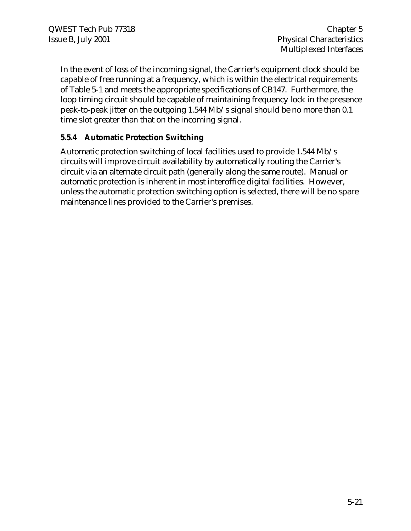In the event of loss of the incoming signal, the Carrier's equipment clock should be capable of free running at a frequency, which is within the electrical requirements of Table 5-1 and meets the appropriate specifications of CB147. Furthermore, the loop timing circuit should be capable of maintaining frequency lock in the presence peak-to-peak jitter on the outgoing 1.544 Mb/s signal should be no more than 0.1 time slot greater than that on the incoming signal.

#### **5.5.4 Automatic Protection Switching**

Automatic protection switching of local facilities used to provide 1.544 Mb/s circuits will improve circuit availability by automatically routing the Carrier's circuit via an alternate circuit path (generally along the same route). Manual or automatic protection is inherent in most interoffice digital facilities. However, unless the automatic protection switching option is selected, there will be no spare maintenance lines provided to the Carrier's premises.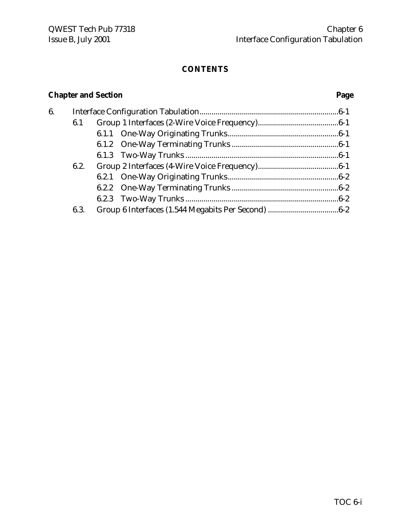# **CONTENTS**

# **Chapter and Section Page**

| 6. |      |  |  |
|----|------|--|--|
|    | 6.1  |  |  |
|    |      |  |  |
|    |      |  |  |
|    |      |  |  |
|    | 6.2. |  |  |
|    |      |  |  |
|    |      |  |  |
|    |      |  |  |
|    | 6.3. |  |  |
|    |      |  |  |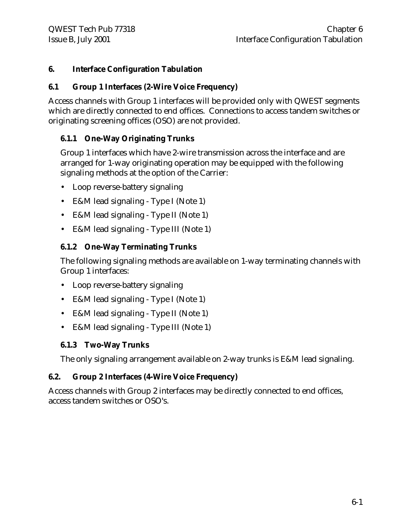### **6. Interface Configuration Tabulation**

#### **6.1 Group 1 Interfaces (2-Wire Voice Frequency)**

Access channels with Group 1 interfaces will be provided only with QWEST segments which are directly connected to end offices. Connections to access tandem switches or originating screening offices (OSO) are not provided.

### **6.1.1 One-Way Originating Trunks**

Group 1 interfaces which have 2-wire transmission across the interface and are arranged for 1-way originating operation may be equipped with the following signaling methods at the option of the Carrier:

- Loop reverse-battery signaling
- E&M lead signaling Type I (Note 1)
- E&M lead signaling Type II (Note 1)
- E&M lead signaling Type III (Note 1)

### **6.1.2 One-Way Terminating Trunks**

The following signaling methods are available on 1-way terminating channels with Group 1 interfaces:

- Loop reverse-battery signaling
- E&M lead signaling Type I (Note 1)
- E&M lead signaling Type II (Note 1)
- E&M lead signaling Type III (Note 1)

### **6.1.3 Two-Way Trunks**

The only signaling arrangement available on 2-way trunks is E&M lead signaling.

### **6.2. Group 2 Interfaces (4-Wire Voice Frequency)**

Access channels with Group 2 interfaces may be directly connected to end offices, access tandem switches or OSO's.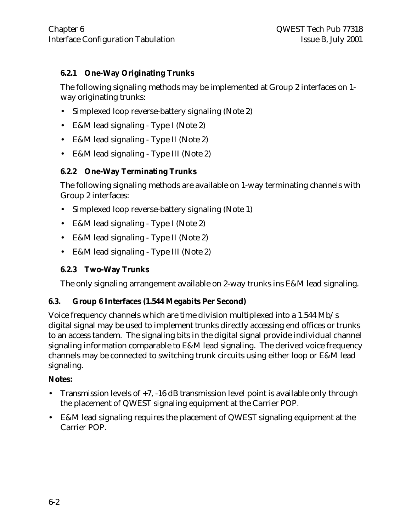# **6.2.1 One-Way Originating Trunks**

The following signaling methods may be implemented at Group 2 interfaces on 1 way originating trunks:

- Simplexed loop reverse-battery signaling (Note 2)
- E&M lead signaling Type I (Note 2)
- E&M lead signaling Type II (Note 2)
- E&M lead signaling Type III (Note 2)

# **6.2.2 One-Way Terminating Trunks**

The following signaling methods are available on 1-way terminating channels with Group 2 interfaces:

- Simplexed loop reverse-battery signaling (Note 1)
- E&M lead signaling Type I (Note 2)
- E&M lead signaling Type II (Note 2)
- E&M lead signaling Type III (Note 2)

### **6.2.3 Two-Way Trunks**

The only signaling arrangement available on 2-way trunks ins E&M lead signaling.

### **6.3. Group 6 Interfaces (1.544 Megabits Per Second)**

Voice frequency channels which are time division multiplexed into a 1.544 Mb/s digital signal may be used to implement trunks directly accessing end offices or trunks to an access tandem. The signaling bits in the digital signal provide individual channel signaling information comparable to E&M lead signaling. The derived voice frequency channels may be connected to switching trunk circuits using either loop or E&M lead signaling.

### **Notes:**

- Transmission levels of +7, -16 dB transmission level point is available only through the placement of QWEST signaling equipment at the Carrier POP.
- E&M lead signaling requires the placement of QWEST signaling equipment at the Carrier POP.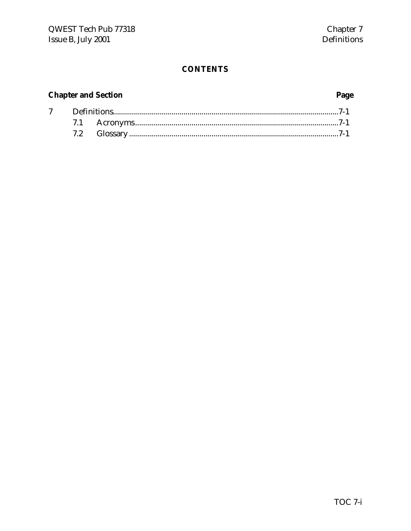# **CONTENTS**

# **Chapter and Section**

# Page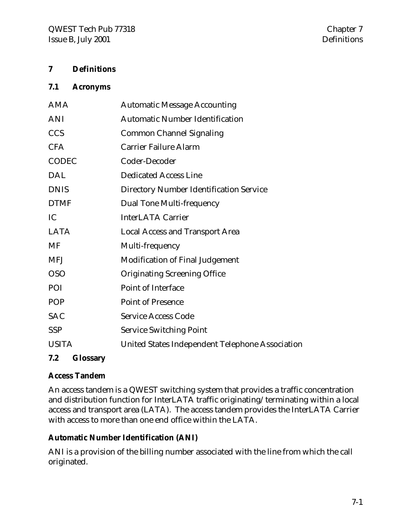### **7 Definitions**

#### **7.1 Acronyms**

| AMA          | <b>Automatic Message Accounting</b>             |
|--------------|-------------------------------------------------|
| <b>ANI</b>   | <b>Automatic Number Identification</b>          |
| <b>CCS</b>   | <b>Common Channel Signaling</b>                 |
| <b>CFA</b>   | <b>Carrier Failure Alarm</b>                    |
| <b>CODEC</b> | Coder-Decoder                                   |
| <b>DAL</b>   | <b>Dedicated Access Line</b>                    |
| <b>DNIS</b>  | <b>Directory Number Identification Service</b>  |
| <b>DTMF</b>  | <b>Dual Tone Multi-frequency</b>                |
| IC           | <b>InterLATA Carrier</b>                        |
| <b>LATA</b>  | <b>Local Access and Transport Area</b>          |
| MF           | Multi-frequency                                 |
| <b>MFJ</b>   | <b>Modification of Final Judgement</b>          |
| <b>OSO</b>   | <b>Originating Screening Office</b>             |
| POI          | <b>Point of Interface</b>                       |
| POP          | <b>Point of Presence</b>                        |
| <b>SAC</b>   | <b>Service Access Code</b>                      |
| <b>SSP</b>   | <b>Service Switching Point</b>                  |
| <b>USITA</b> | United States Independent Telephone Association |
|              |                                                 |

# **7.2 Glossary**

### **Access Tandem**

An access tandem is a QWEST switching system that provides a traffic concentration and distribution function for InterLATA traffic originating/terminating within a local access and transport area (LATA). The access tandem provides the InterLATA Carrier with access to more than one end office within the LATA.

### **Automatic Number Identification (ANI)**

ANI is a provision of the billing number associated with the line from which the call originated.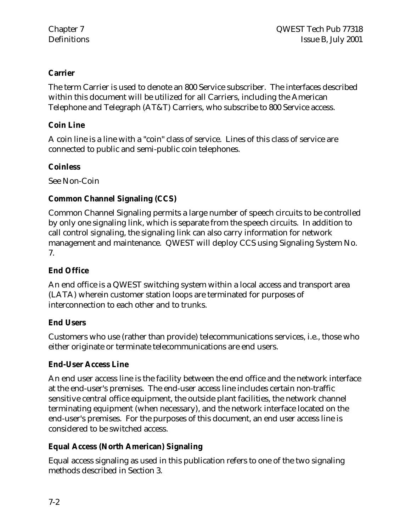# **Carrier**

The term Carrier is used to denote an 800 Service subscriber. The interfaces described within this document will be utilized for all Carriers, including the American Telephone and Telegraph (AT&T) Carriers, who subscribe to 800 Service access.

# **Coin Line**

A coin line is a line with a "coin" class of service. Lines of this class of service are connected to public and semi-public coin telephones.

# **Coinless**

See Non-Coin

# **Common Channel Signaling (CCS)**

Common Channel Signaling permits a large number of speech circuits to be controlled by only one signaling link, which is separate from the speech circuits. In addition to call control signaling, the signaling link can also carry information for network management and maintenance. QWEST will deploy CCS using Signaling System No. 7.

# **End Office**

An end office is a QWEST switching system within a local access and transport area (LATA) wherein customer station loops are terminated for purposes of interconnection to each other and to trunks.

# **End Users**

Customers who use (rather than provide) telecommunications services, i.e., those who either originate or terminate telecommunications are end users.

# **End-User Access Line**

An end user access line is the facility between the end office and the network interface at the end-user's premises. The end-user access line includes certain non-traffic sensitive central office equipment, the outside plant facilities, the network channel terminating equipment (when necessary), and the network interface located on the end-user's premises. For the purposes of this document, an end user access line is considered to be switched access.

# **Equal Access (North American) Signaling**

Equal access signaling as used in this publication refers to one of the two signaling methods described in Section 3.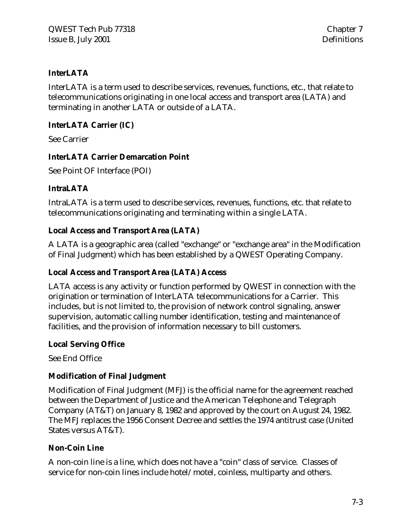# **InterLATA**

InterLATA is a term used to describe services, revenues, functions, etc., that relate to telecommunications originating in one local access and transport area (LATA) and terminating in another LATA or outside of a LATA.

# **InterLATA Carrier (IC)**

See Carrier

#### **InterLATA Carrier Demarcation Point**

See Point OF Interface (POI)

# **IntraLATA**

IntraLATA is a term used to describe services, revenues, functions, etc. that relate to telecommunications originating and terminating within a single LATA.

# **Local Access and Transport Area (LATA)**

A LATA is a geographic area (called "exchange" or "exchange area" in the Modification of Final Judgment) which has been established by a QWEST Operating Company.

# **Local Access and Transport Area (LATA) Access**

LATA access is any activity or function performed by QWEST in connection with the origination or termination of InterLATA telecommunications for a Carrier. This includes, but is not limited to, the provision of network control signaling, answer supervision, automatic calling number identification, testing and maintenance of facilities, and the provision of information necessary to bill customers.

### **Local Serving Office**

See End Office

### **Modification of Final Judgment**

Modification of Final Judgment (MFJ) is the official name for the agreement reached between the Department of Justice and the American Telephone and Telegraph Company (AT&T) on January 8, 1982 and approved by the court on August 24, 1982. The MFJ replaces the 1956 Consent Decree and settles the 1974 antitrust case (United States versus AT&T).

### **Non-Coin Line**

A non-coin line is a line, which does not have a "coin" class of service. Classes of service for non-coin lines include hotel/motel, coinless, multiparty and others.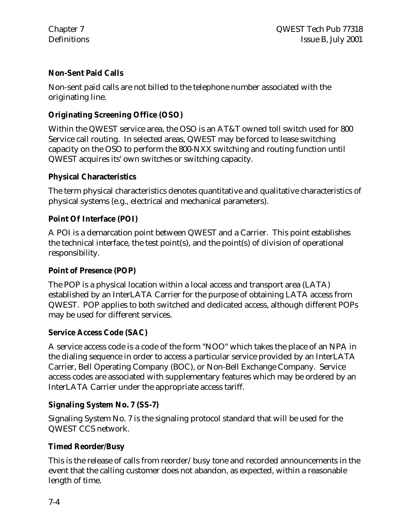# **Non-Sent Paid Calls**

Non-sent paid calls are not billed to the telephone number associated with the originating line.

# **Originating Screening Office (OSO)**

Within the QWEST service area, the OSO is an AT&T owned toll switch used for 800 Service call routing. In selected areas, QWEST may be forced to lease switching capacity on the OSO to perform the 800-NXX switching and routing function until QWEST acquires its' own switches or switching capacity.

# **Physical Characteristics**

The term physical characteristics denotes quantitative and qualitative characteristics of physical systems (e.g., electrical and mechanical parameters).

# **Point Of Interface (POI)**

A POI is a demarcation point between QWEST and a Carrier. This point establishes the technical interface, the test point(s), and the point(s) of division of operational responsibility.

## **Point of Presence (POP)**

The POP is a physical location within a local access and transport area (LATA) established by an InterLATA Carrier for the purpose of obtaining LATA access from QWEST. POP applies to both switched and dedicated access, although different POPs may be used for different services.

# **Service Access Code (SAC)**

A service access code is a code of the form "NOO" which takes the place of an NPA in the dialing sequence in order to access a particular service provided by an InterLATA Carrier, Bell Operating Company (BOC), or Non-Bell Exchange Company. Service access codes are associated with supplementary features which may be ordered by an InterLATA Carrier under the appropriate access tariff.

### **Signaling System No. 7 (SS-7)**

Signaling System No. 7 is the signaling protocol standard that will be used for the QWEST CCS network.

### **Timed Reorder/Busy**

This is the release of calls from reorder/busy tone and recorded announcements in the event that the calling customer does not abandon, as expected, within a reasonable length of time.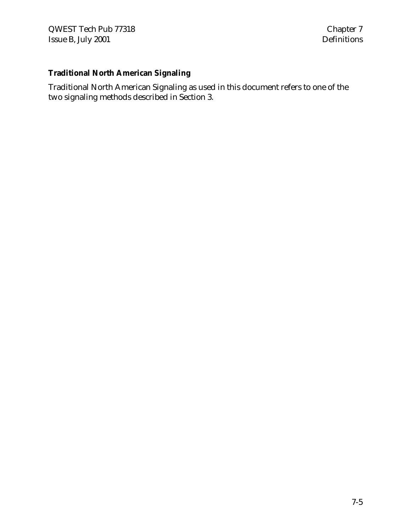# **Traditional North American Signaling**

Traditional North American Signaling as used in this document refers to one of the two signaling methods described in Section 3.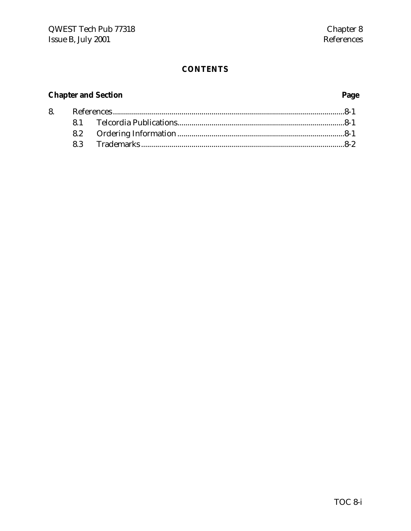# **CONTENTS**

# **Chapter and Section**

# Page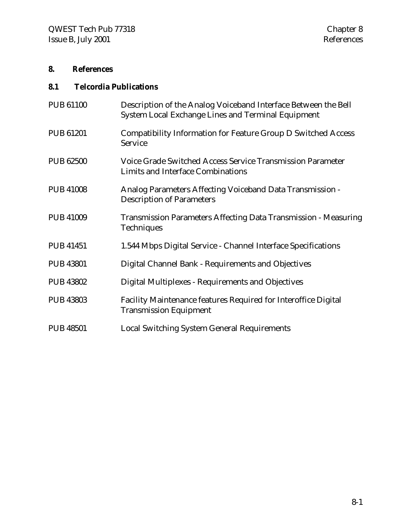# **8. References**

# **8.1 Telcordia Publications**

| <b>PUB 61100</b> | Description of the Analog Voiceband Interface Between the Bell<br>System Local Exchange Lines and Terminal Equipment |
|------------------|----------------------------------------------------------------------------------------------------------------------|
| PUB 61201        | Compatibility Information for Feature Group D Switched Access<br>Service                                             |
| <b>PUB 62500</b> | <b>Voice Grade Switched Access Service Transmission Parameter</b><br>Limits and Interface Combinations               |
| <b>PUB 41008</b> | Analog Parameters Affecting Voiceband Data Transmission -<br><b>Description of Parameters</b>                        |
| <b>PUB 41009</b> | <b>Transmission Parameters Affecting Data Transmission - Measuring</b><br>Techniques                                 |
| <b>PUB 41451</b> | 1.544 Mbps Digital Service - Channel Interface Specifications                                                        |
| <b>PUB 43801</b> | Digital Channel Bank - Requirements and Objectives                                                                   |
| <b>PUB 43802</b> | Digital Multiplexes - Requirements and Objectives                                                                    |
| <b>PUB 43803</b> | Facility Maintenance features Required for Interoffice Digital<br><b>Transmission Equipment</b>                      |
| <b>PUB 48501</b> | <b>Local Switching System General Requirements</b>                                                                   |